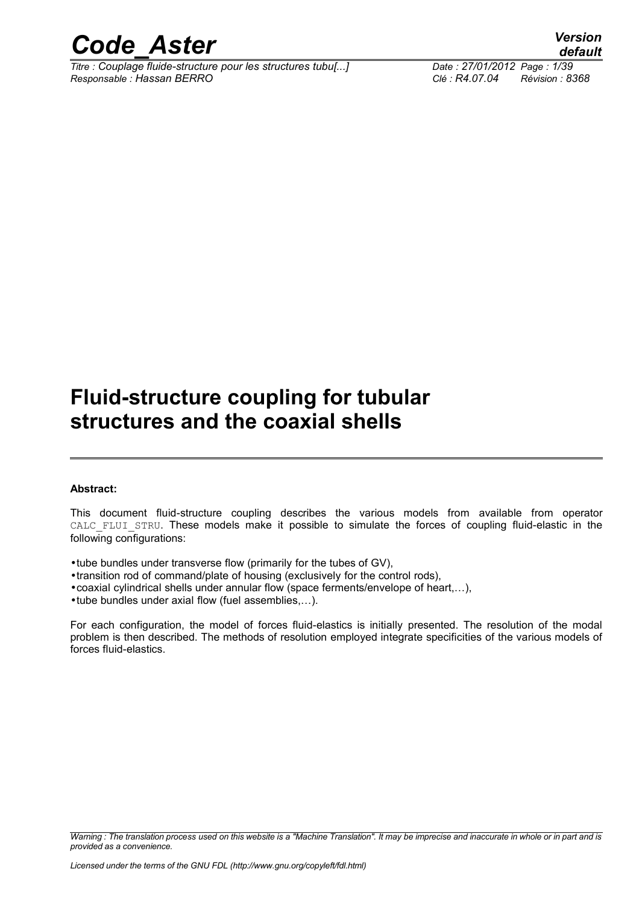

*Titre : Couplage fluide-structure pour les structures tubu[...] Date : 27/01/2012 Page : 1/39 Responsable : Hassan BERRO Clé : R4.07.04 Révision : 8368*

*default*

# **Fluid-structure coupling for tubular structures and the coaxial shells**

#### **Abstract:**

This document fluid-structure coupling describes the various models from available from operator CALC\_FLUI\_STRU. These models make it possible to simulate the forces of coupling fluid-elastic in the following configurations:

- •tube bundles under transverse flow (primarily for the tubes of GV),
- •transition rod of command/plate of housing (exclusively for the control rods),
- •coaxial cylindrical shells under annular flow (space ferments/envelope of heart,…),
- •tube bundles under axial flow (fuel assemblies,…).

For each configuration, the model of forces fluid-elastics is initially presented. The resolution of the modal problem is then described. The methods of resolution employed integrate specificities of the various models of forces fluid-elastics.

*Warning : The translation process used on this website is a "Machine Translation". It may be imprecise and inaccurate in whole or in part and is provided as a convenience.*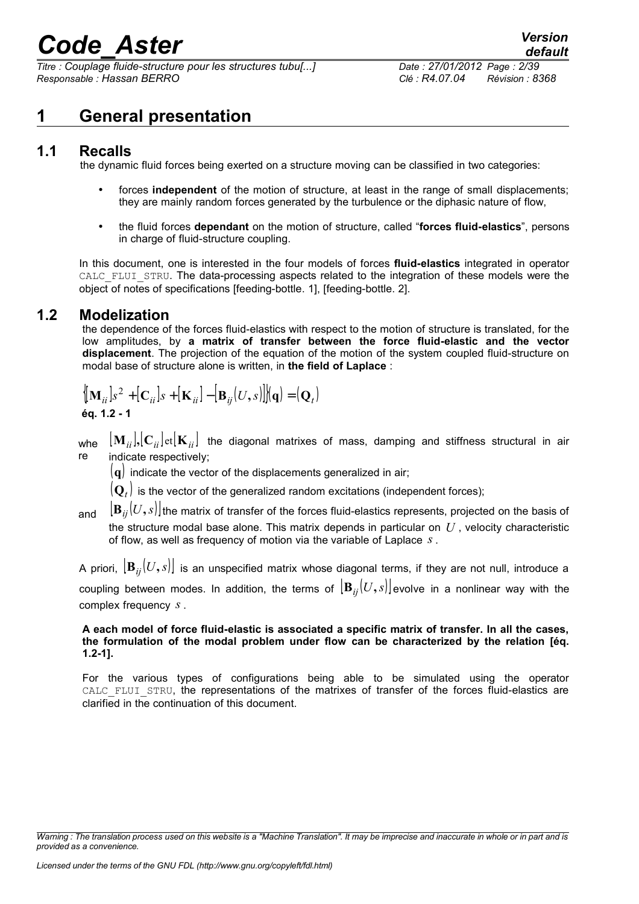*Titre : Couplage fluide-structure pour les structures tubu[...] Date : 27/01/2012 Page : 2/39 Responsable : Hassan BERRO Clé : R4.07.04 Révision : 8368*

*default*

### **1 General presentation**

### **1.1 Recalls**

the dynamic fluid forces being exerted on a structure moving can be classified in two categories:

- forces **independent** of the motion of structure, at least in the range of small displacements; they are mainly random forces generated by the turbulence or the diphasic nature of flow,
- the fluid forces **dependant** on the motion of structure, called "**forces fluid-elastics**", persons in charge of fluid-structure coupling.

In this document, one is interested in the four models of forces **fluid-elastics** integrated in operator CALC\_FLUI\_STRU. The data-processing aspects related to the integration of these models were the object of notes of specifications [feeding-bottle. 1], [feeding-bottle. 2].

### **1.2 Modelization**

the dependence of the forces fluid-elastics with respect to the motion of structure is translated, for the low amplitudes, by **a matrix of transfer between the force fluid-elastic and the vector displacement**. The projection of the equation of the motion of the system coupled fluid-structure on modal base of structure alone is written, in **the field of Laplace** :

$$
\begin{cases}\n\left[\mathbf{M}_{ii}\right]s^2 + \left[\mathbf{C}_{ii}\right]s + \left[\mathbf{K}_{ii}\right] - \left[\mathbf{B}_{ij}(U,s)\right]\right](\mathbf{q}) = \left(\mathbf{Q}_t\right) \\
\text{Eq. 1.2 - 1}\n\end{cases}
$$

 $_{\sf whe}\;$   $[{\bf M}_{ii}] , [{\bf C}_{ii}]$ et $[{\bf K}_{ii}] \;$  the diagonal matrixes of mass, damping and stiffness structural in air re indicate respectively;

(**q**) indicate the vector of the displacements generalized in air;

 $(\mathbf{Q}_t)$  is the vector of the generalized random excitations (independent forces);

and  $\left[\mathbf{B}_{ii}(U,s)\right]$  the matrix of transfer of the forces fluid-elastics represents, projected on the basis of the structure modal base alone. This matrix depends in particular on *U* , velocity characteristic of flow, as well as frequency of motion via the variable of Laplace *s* .

A priori,  $\left[\mathbf{B}_{ii}(U,s)\right]$  is an unspecified matrix whose diagonal terms, if they are not null, introduce a coupling between modes. In addition, the terms of  $|\mathbf{B}_{ii}(U,s)|$  evolve in a nonlinear way with the complex frequency *s* .

#### **A each model of force fluid-elastic is associated a specific matrix of transfer. In all the cases, the formulation of the modal problem under flow can be characterized by the relation [éq. 1.2-1].**

For the various types of configurations being able to be simulated using the operator CALC FLUI STRU, the representations of the matrixes of transfer of the forces fluid-elastics are clarified in the continuation of this document.

*Warning : The translation process used on this website is a "Machine Translation". It may be imprecise and inaccurate in whole or in part and is provided as a convenience.*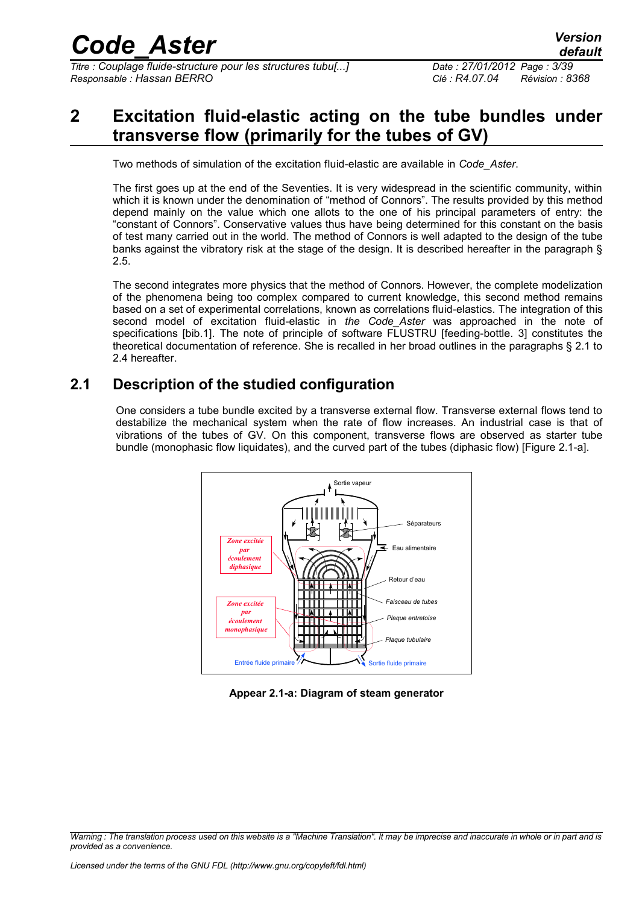*Titre : Couplage fluide-structure pour les structures tubu[...] Date : 27/01/2012 Page : 3/39 Responsable : Hassan BERRO Clé : R4.07.04 Révision : 8368*

# **2 Excitation fluid-elastic acting on the tube bundles under transverse flow (primarily for the tubes of GV)**

Two methods of simulation of the excitation fluid-elastic are available in *Code\_Aster*.

The first goes up at the end of the Seventies. It is very widespread in the scientific community, within which it is known under the denomination of "method of Connors". The results provided by this method depend mainly on the value which one allots to the one of his principal parameters of entry: the "constant of Connors". Conservative values thus have being determined for this constant on the basis of test many carried out in the world. The method of Connors is well adapted to the design of the tube banks against the vibratory risk at the stage of the design. It is described hereafter in the paragraph § 2.5.

The second integrates more physics that the method of Connors. However, the complete modelization of the phenomena being too complex compared to current knowledge, this second method remains based on a set of experimental correlations, known as correlations fluid-elastics. The integration of this second model of excitation fluid-elastic in *the Code\_Aster* was approached in the note of specifications [bib.1]. The note of principle of software FLUSTRU [feeding-bottle. 3] constitutes the theoretical documentation of reference. She is recalled in her broad outlines in the paragraphs § 2.1 to 2.4 hereafter.

### **2.1 Description of the studied configuration**

One considers a tube bundle excited by a transverse external flow. Transverse external flows tend to destabilize the mechanical system when the rate of flow increases. An industrial case is that of vibrations of the tubes of GV. On this component, transverse flows are observed as starter tube bundle (monophasic flow liquidates), and the curved part of the tubes (diphasic flow) [Figure 2.1-a].



**Appear 2.1-a: Diagram of steam generator**

*Warning : The translation process used on this website is a "Machine Translation". It may be imprecise and inaccurate in whole or in part and is provided as a convenience.*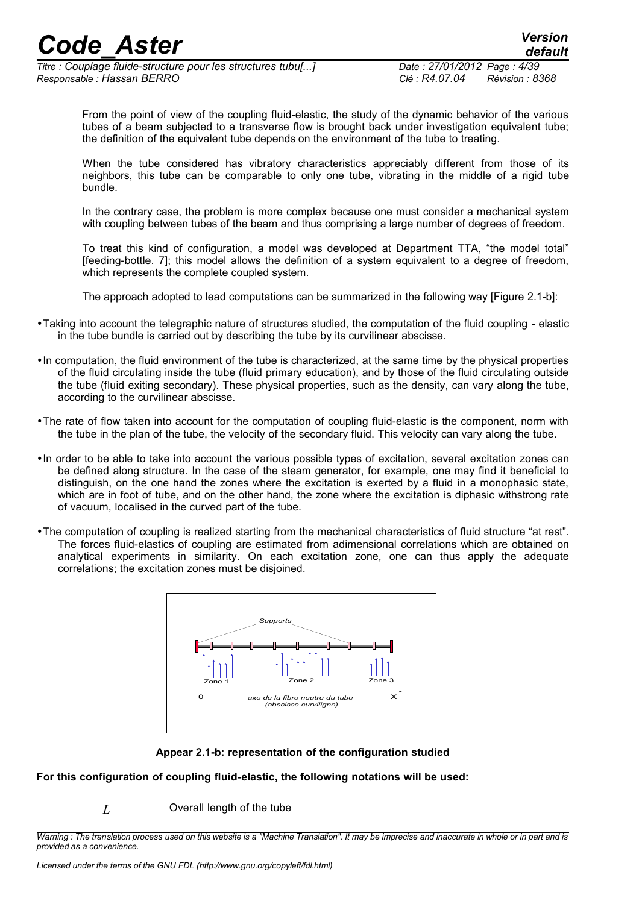*Titre : Couplage fluide-structure pour les structures tubu[...] Date : 27/01/2012 Page : 4/39 Responsable : Hassan BERRO Clé : R4.07.04 Révision : 8368*

From the point of view of the coupling fluid-elastic, the study of the dynamic behavior of the various tubes of a beam subjected to a transverse flow is brought back under investigation equivalent tube; the definition of the equivalent tube depends on the environment of the tube to treating.

When the tube considered has vibratory characteristics appreciably different from those of its neighbors, this tube can be comparable to only one tube, vibrating in the middle of a rigid tube bundle.

In the contrary case, the problem is more complex because one must consider a mechanical system with coupling between tubes of the beam and thus comprising a large number of degrees of freedom.

To treat this kind of configuration, a model was developed at Department TTA, "the model total" [feeding-bottle. 7]; this model allows the definition of a system equivalent to a degree of freedom, which represents the complete coupled system.

The approach adopted to lead computations can be summarized in the following way [Figure 2.1-b]:

- •Taking into account the telegraphic nature of structures studied, the computation of the fluid coupling elastic in the tube bundle is carried out by describing the tube by its curvilinear abscisse.
- •In computation, the fluid environment of the tube is characterized, at the same time by the physical properties of the fluid circulating inside the tube (fluid primary education), and by those of the fluid circulating outside the tube (fluid exiting secondary). These physical properties, such as the density, can vary along the tube, according to the curvilinear abscisse.
- •The rate of flow taken into account for the computation of coupling fluid-elastic is the component, norm with the tube in the plan of the tube, the velocity of the secondary fluid. This velocity can vary along the tube.
- •In order to be able to take into account the various possible types of excitation, several excitation zones can be defined along structure. In the case of the steam generator, for example, one may find it beneficial to distinguish, on the one hand the zones where the excitation is exerted by a fluid in a monophasic state, which are in foot of tube, and on the other hand, the zone where the excitation is diphasic withstrong rate of vacuum, localised in the curved part of the tube.
- •The computation of coupling is realized starting from the mechanical characteristics of fluid structure "at rest". The forces fluid-elastics of coupling are estimated from adimensional correlations which are obtained on analytical experiments in similarity. On each excitation zone, one can thus apply the adequate correlations; the excitation zones must be disjoined.



**Appear 2.1-b: representation of the configuration studied**

#### **For this configuration of coupling fluid-elastic, the following notations will be used:**

*L* Overall length of the tube

*Warning : The translation process used on this website is a "Machine Translation". It may be imprecise and inaccurate in whole or in part and is provided as a convenience.*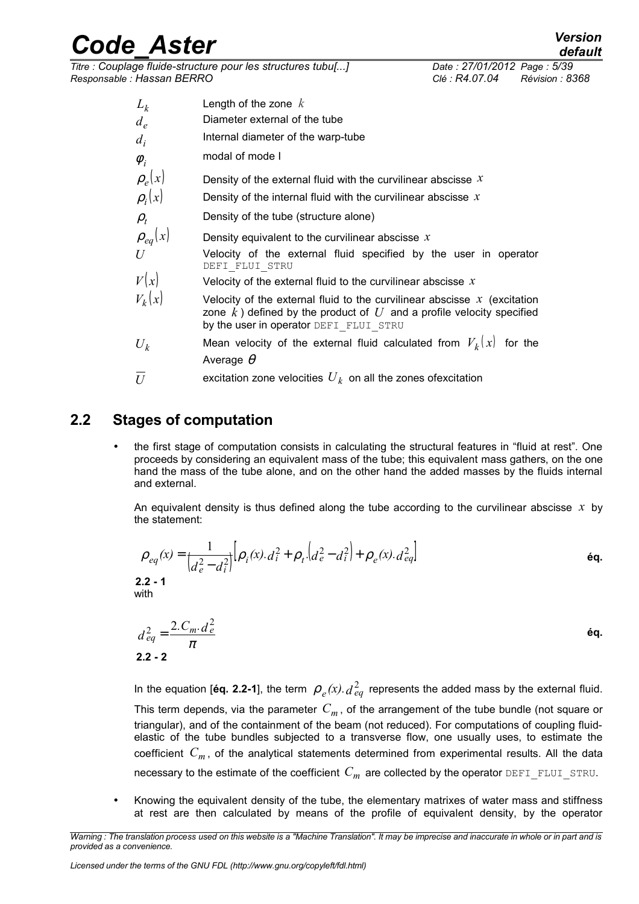*Titre : Couplage fluide-structure pour les structures tubu[...] Date : 27/01/2012 Page : 5/39 Responsable : Hassan BERRO Clé : R4.07.04 Révision : 8368*

- $L_k$ Length of the zone *k*
- $d_e$ Diameter external of the tube
- *di* Internal diameter of the warp-tube
- $\phi$ <sub>*i*</sub> modal of mode I
- $\rho_e(x)$  Density of the external fluid with the curvilinear abscisse x
- $\rho_i(x)$ Density of the internal fluid with the curvilinear abscisse *x*
- $\rho_t$ Density of the tube (structure alone)
- $\rho_{eq}(x)$  Density equivalent to the curvilinear abscisse x
- *U* Velocity of the external fluid specified by the user in operator DEFI FLUI STRU
- $V(x)$  Velocity of the external fluid to the curvilinear abscisse x
- $V_k(x)$  **b** Velocity of the external fluid to the curvilinear abscisse x (excitation zone  $\vec{k}$ ) defined by the product of  $U$  and a profile velocity specified by the user in operator DEFI\_FLUI\_STRU
- $U_k$  Mean velocity of the external fluid calculated from  $V_k(x)$  for the Average  $\theta$
- $\overline{U}$  excitation zone velocities  ${U}_k$  on all the zones ofexcitation

### **2.2 Stages of computation**

• the first stage of computation consists in calculating the structural features in "fluid at rest". One proceeds by considering an equivalent mass of the tube; this equivalent mass gathers, on the one hand the mass of the tube alone, and on the other hand the added masses by the fluids internal and external.

An equivalent density is thus defined along the tube according to the curvilinear abscisse *x* by the statement:

$$
\rho_{eq}(x) = \frac{1}{\left(d_e^2 - d_i^2\right)} \left[\rho_i(x) \cdot d_i^2 + \rho_t \cdot \left(d_e^2 - d_i^2\right) + \rho_e(x) \cdot d_{eq}^2\right]
$$
\n**2.2 - 1**\nwith\n
$$
d_{eq}^2 = \frac{2 \cdot C_m \cdot d_e^2}{\pi}
$$
\n**2.2 - 2**\n**6q.**

In the equation [éq. 2.2-1], the term  $\,\rho_{\,e}(x).d^{\,2}_{\,eq}\,$  represents the added mass by the external fluid. This term depends, via the parameter *C<sup>m</sup>* , of the arrangement of the tube bundle (not square or triangular), and of the containment of the beam (not reduced). For computations of coupling fluidelastic of the tube bundles subjected to a transverse flow, one usually uses, to estimate the coefficient *C<sup>m</sup>* , of the analytical statements determined from experimental results. All the data necessary to the estimate of the coefficient  $C_m$  are collected by the operator DEFI\_FLUI\_STRU.

• Knowing the equivalent density of the tube, the elementary matrixes of water mass and stiffness at rest are then calculated by means of the profile of equivalent density, by the operator

*Warning : The translation process used on this website is a "Machine Translation". It may be imprecise and inaccurate in whole or in part and is provided as a convenience.*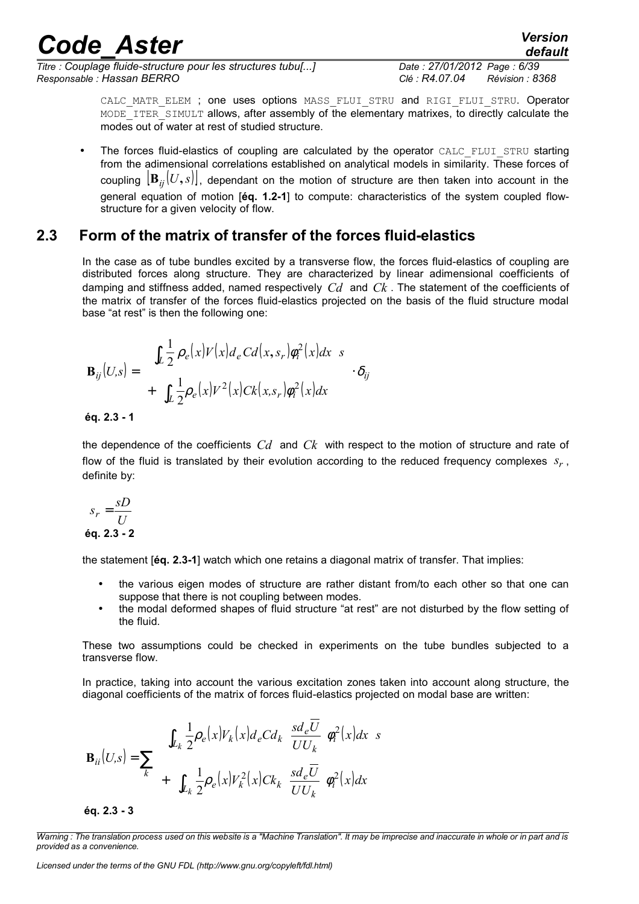*Titre : Couplage fluide-structure pour les structures tubu[...] Date : 27/01/2012 Page : 6/39 Responsable : Hassan BERRO Clé : R4.07.04 Révision : 8368*

*default*

CALC MATR ELEM ; one uses options MASS FLUI STRU and RIGI FLUI STRU. Operator MODE ITER SIMULT allows, after assembly of the elementary matrixes, to directly calculate the modes out of water at rest of studied structure.

• The forces fluid-elastics of coupling are calculated by the operator CALC\_FLUI\_STRU starting from the adimensional correlations established on analytical models in similarity. These forces of coupling  $|\mathbf{B}_{ii}(U,s)|$ , dependant on the motion of structure are then taken into account in the general equation of motion [**éq. 1.2-1**] to compute: characteristics of the system coupled flowstructure for a given velocity of flow.

### **2.3 Form of the matrix of transfer of the forces fluid-elastics**

In the case as of tube bundles excited by a transverse flow, the forces fluid-elastics of coupling are distributed forces along structure. They are characterized by linear adimensional coefficients of damping and stiffness added, named respectively *Cd* and *Ck* . The statement of the coefficients of the matrix of transfer of the forces fluid-elastics projected on the basis of the fluid structure modal base "at rest" is then the following one:

$$
\mathbf{B}_{ij}(U,s) = \begin{bmatrix} \left\{ \int_{L} \frac{1}{2} \rho_e(x) V(x) d_e C d(x, s_r) \phi_i^2(x) dx \right\} s \\ + \left\{ \int_{L} \frac{1}{2} \rho_e(x) V^2(x) C k(x, s_r) \phi_i^2(x) dx \right\} \end{bmatrix} \cdot \delta_{ij}
$$
  
éq. 2.3 - 1

the dependence of the coefficients *Cd* and *Ck* with respect to the motion of structure and rate of flow of the fluid is translated by their evolution according to the reduced frequency complexes *s<sup>r</sup>* , definite by:

$$
s_r = \frac{sD}{U}
$$
  
éq. 2.3 - 2

the statement [**éq. 2.3-1**] watch which one retains a diagonal matrix of transfer. That implies:

- the various eigen modes of structure are rather distant from/to each other so that one can suppose that there is not coupling between modes.
- the modal deformed shapes of fluid structure "at rest" are not disturbed by the flow setting of the fluid*.*

These two assumptions could be checked in experiments on the tube bundles subjected to a transverse flow.

In practice, taking into account the various excitation zones taken into account along structure, the diagonal coefficients of the matrix of forces fluid-elastics projected on modal base are written:

$$
\mathbf{B}_{ii}(U,s) = \sum_{k} \left\{ \int_{L_k} \frac{1}{2} \rho_e(x) V_k(x) d_e C d_k \left( \frac{sd_e \overline{U}}{U U_k} \right) \rho_i^2(x) dx \right\} s \right\}
$$
\n
$$
+ \left\{ \int_{L_k} \frac{1}{2} \rho_e(x) V_k^2(x) C k_k \left( \frac{sd_e \overline{U}}{U U_k} \right) \rho_i^2(x) dx \right\}
$$

**éq. 2.3 - 3**

*Warning : The translation process used on this website is a "Machine Translation". It may be imprecise and inaccurate in whole or in part and is provided as a convenience.*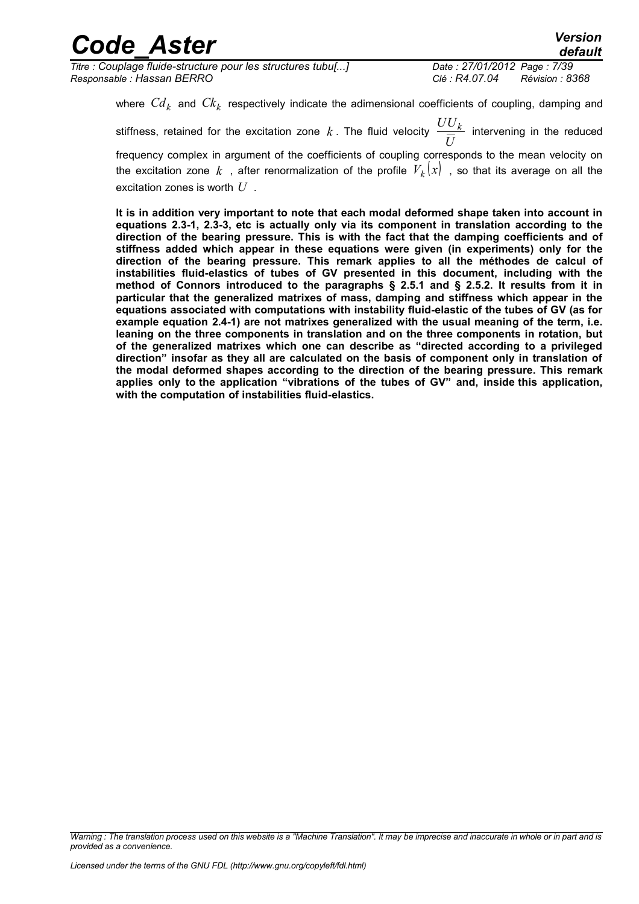*Titre : Couplage fluide-structure pour les structures tubu[...] Date : 27/01/2012 Page : 7/39 Responsable : Hassan BERRO Clé : R4.07.04 Révision : 8368*

*default*

where  $\mathit{Cd}_k$  and  $\mathit{Ck}_k$  respectively indicate the adimensional coefficients of coupling, damping and  $\frac{UU_k}{X}$  intervening in the reduced

stiffness, retained for the excitation zone  $k$  . The fluid velocity  $\frac{1}{k}$ *U* frequency complex in argument of the coefficients of coupling corresponds to the mean velocity on the excitation zone  $k$  , after renormalization of the profile  $\mathit{V}_k(x)$  , so that its average on all the excitation zones is worth *U* .

**It is in addition very important to note that each modal deformed shape taken into account in equations 2.3-1, 2.3-3, etc is actually only via its component in translation according to the direction of the bearing pressure. This is with the fact that the damping coefficients and of stiffness added which appear in these equations were given (in experiments) only for the direction of the bearing pressure. This remark applies to all the méthodes de calcul of instabilities fluid-elastics of tubes of GV presented in this document, including with the method of Connors introduced to the paragraphs § 2.5.1 and § 2.5.2. It results from it in particular that the generalized matrixes of mass, damping and stiffness which appear in the equations associated with computations with instability fluid-elastic of the tubes of GV (as for example equation 2.4-1) are not matrixes generalized with the usual meaning of the term, i.e. leaning on the three components in translation and on the three components in rotation, but of the generalized matrixes which one can describe as "directed according to a privileged direction" insofar as they all are calculated on the basis of component only in translation of the modal deformed shapes according to the direction of the bearing pressure. This remark applies only to the application "vibrations of the tubes of GV" and, inside this application, with the computation of instabilities fluid-elastics.** 

*Warning : The translation process used on this website is a "Machine Translation". It may be imprecise and inaccurate in whole or in part and is provided as a convenience.*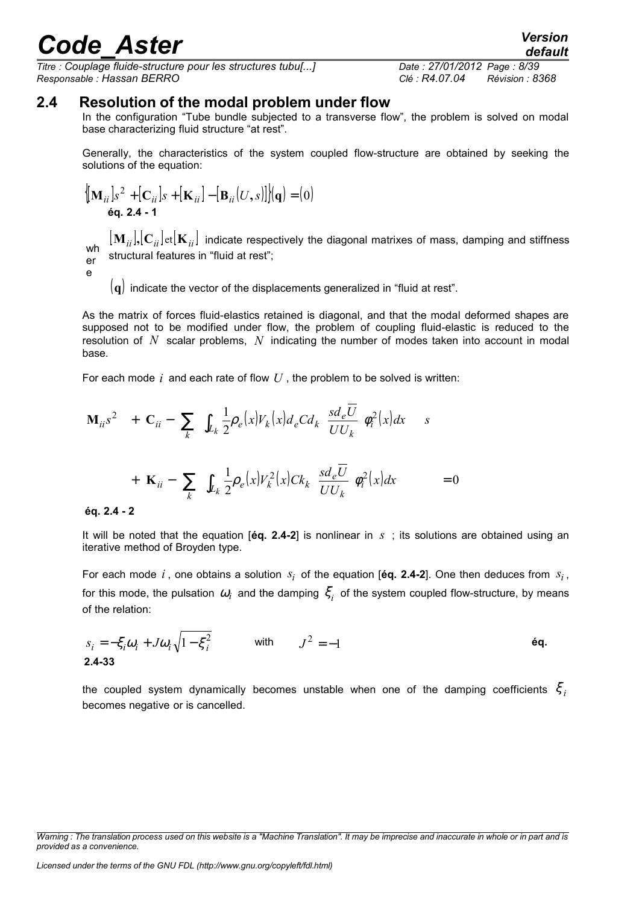*Titre : Couplage fluide-structure pour les structures tubu[...] Date : 27/01/2012 Page : 8/39 Responsable : Hassan BERRO Clé : R4.07.04 Révision : 8368*

### **2.4 Resolution of the modal problem under flow**

In the configuration "Tube bundle subjected to a transverse flow", the problem is solved on modal base characterizing fluid structure "at rest".

Generally, the characteristics of the system coupled flow-structure are obtained by seeking the solutions of the equation:

$$
\left\{ \begin{aligned} &\left[\mathbf{M}_{ii}\right]s^2 + \left[\mathbf{C}_{ii}\right]s + \left[\mathbf{K}_{ii}\right] - \left[\mathbf{B}_{ii}(U,s)\right] \right\} \end{aligned} \right\} = (0)
$$
\néq. 2.4 - 1

wh er  ${\bf M}_{ii}$ ,  ${\bf C}_{ii}$  et  ${\bf K}_{ii}$  indicate respectively the diagonal matrixes of mass, damping and stiffness structural features in "fluid at rest";

e

(**q**) indicate the vector of the displacements generalized in "fluid at rest".

As the matrix of forces fluid-elastics retained is diagonal, and that the modal deformed shapes are supposed not to be modified under flow, the problem of coupling fluid-elastic is reduced to the resolution of *N* scalar problems, *N* indicating the number of modes taken into account in modal base.

For each mode *i* and each rate of flow *U* , the problem to be solved is written:

$$
\mathbf{M}_{ii}s^{2} + \left[\mathbf{C}_{ii} - \left(\sum_{k} \left\{\int_{L_{k}} \frac{1}{2} \rho_{e}(x) V_{k}(x) d_{e} C d_{k} \left(\frac{sd_{e} \overline{U}}{U U_{k}}\right) \rho_{i}^{2}(x) dx\right\}\right)\right]s + \left[\mathbf{K}_{ii} - \left(\sum_{k} \left\{\int_{L_{k}} \frac{1}{2} \rho_{e}(x) V_{k}^{2}(x) C k_{k} \left(\frac{sd_{e} \overline{U}}{U U_{k}}\right) \rho_{i}^{2}(x) dx\right\}\right)\right] = 0
$$

#### **éq. 2.4 - 2**

It will be noted that the equation  $[6q, 2.4-2]$  is nonlinear in *s*; its solutions are obtained using an iterative method of Broyden type.

For each mode  $i$ , one obtains a solution  $s_i$  of the equation [éq. 2.4-2]. One then deduces from  $s_i$ , for this mode, the pulsation  $\omega_i$  and the damping  $\zeta_i$  of the system coupled flow-structure, by means of the relation:

$$
s_i = -\xi_i \omega_i + J \omega_i \sqrt{1 - \xi_i^2}
$$
 with  $J^2 = -1$  6q.

the coupled system dynamically becomes unstable when one of the damping coefficients  $\zeta_i$ becomes negative or is cancelled.

*default*

*Warning : The translation process used on this website is a "Machine Translation". It may be imprecise and inaccurate in whole or in part and is provided as a convenience.*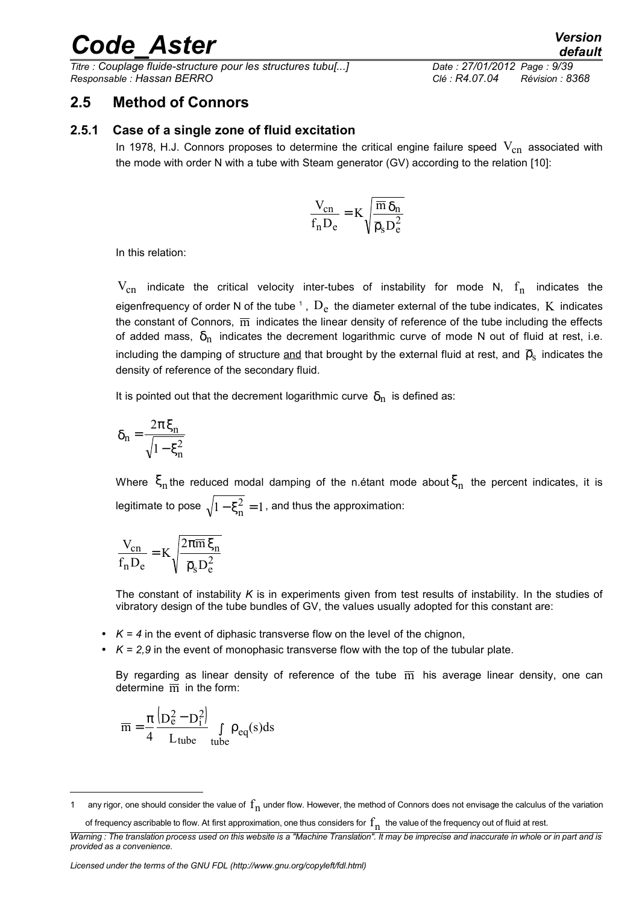*Titre : Couplage fluide-structure pour les structures tubu[...] Date : 27/01/2012 Page : 9/39 Responsable : Hassan BERRO Clé : R4.07.04 Révision : 8368*

### **2.5 Method of Connors**

#### **2.5.1 Case of a single zone of fluid excitation**

In 1978, H.J. Connors proposes to determine the critical engine failure speed  $V_{cn}$  associated with the mode with order N with a tube with Steam generator (GV) according to the relation [10]:

$$
\frac{V_{cn}}{f_n D_e} = K \sqrt{\frac{\overline{m} \, \delta_n}{\overline{\rho}_s D_e^2}}
$$

In this relation:

 $\rm V_{cn}$  indicate the critical velocity inter-tubes of instability for mode N,  $\rm f_{n}$  indicates the eigenfrequency of order N of the tube  $^{\text{\tiny{\text{1}}}}$  $^{\text{\tiny{\text{1}}}}$  $^{\text{\tiny{\text{1}}}}$  ,  $\rm{D}_{e}$  the diameter external of the tube indicates,  $\rm{K}$  indicates the constant of Connors,  $\overline{m}$  indicates the linear density of reference of the tube including the effects of added mass,  $\delta_n$  indicates the decrement logarithmic curve of mode N out of fluid at rest, i.e. including the damping of structure <u>and</u> that brought by the external fluid at rest, and  $\overline{\mathsf{p}}_{\text{s}}$  indicates the density of reference of the secondary fluid.

It is pointed out that the decrement logarithmic curve  $\delta_n$  is defined as:

$$
\delta_n = \frac{2\pi \xi_n}{\sqrt{1-\xi_n^2}}
$$

Where  $\zeta_{\rm n}$ the reduced modal damping of the n.étant mode about $\zeta_{\rm n}$  the percent indicates, it is legitimate to pose  $\sqrt{1-\xi_n^2}=1$  $-\xi_n^2 = 1$ , and thus the approximation:

$$
\frac{V_{cn}}{f_n D_e} = K \sqrt{\frac{2\pi \overline{m}\,\xi_n}{\overline{\rho}_s D_e^2}}
$$

The constant of instability *K* is in experiments given from test results of instability. In the studies of vibratory design of the tube bundles of GV, the values usually adopted for this constant are:

- $\cdot$   $K = 4$  in the event of diphasic transverse flow on the level of the chignon,
- $\cdot$   $K = 2.9$  in the event of monophasic transverse flow with the top of the tubular plate.

By regarding as linear density of reference of the tube  $\overline{m}$  his average linear density, one can determine  $\overline{m}$  in the form:

$$
\overline{m} = \frac{\pi}{4} \frac{\left(D_e^2 - D_i^2\right)}{L_{tube}} \int_{tube} \rho_{eq}(s) ds
$$

<span id="page-8-0"></span><sup>1</sup> any rigor, one should consider the value of  $f_n$  under flow. However, the method of Connors does not envisage the calculus of the variation

of frequency ascribable to flow. At first approximation, one thus considers for  $\rm f_{n}$  the value of the frequency out of fluid at rest.

*Warning : The translation process used on this website is a "Machine Translation". It may be imprecise and inaccurate in whole or in part and is provided as a convenience.*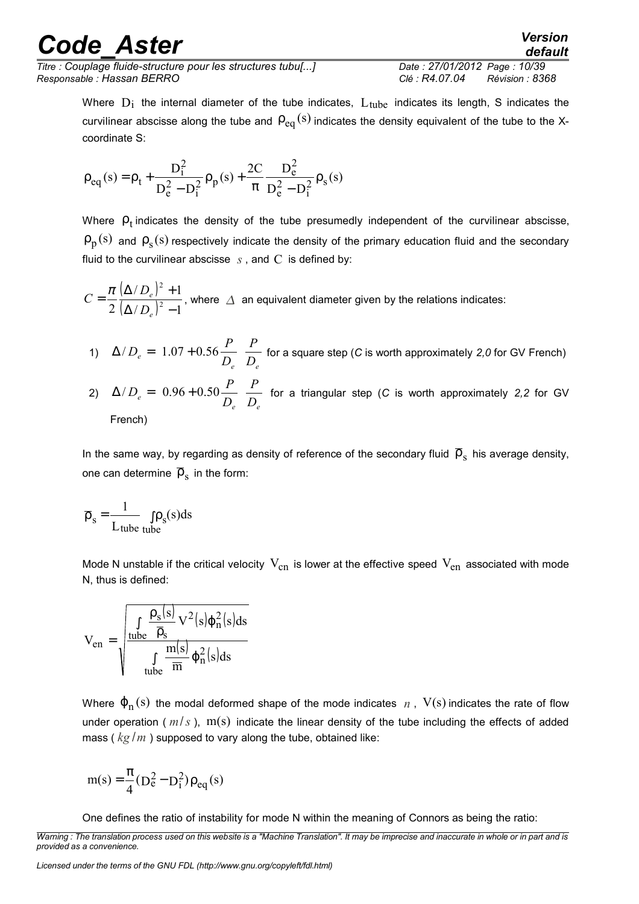*Titre : Couplage fluide-structure pour les structures tubu[...] Date : 27/01/2012 Page : 10/39 Responsable : Hassan BERRO Clé : R4.07.04 Révision : 8368*

*default*

Where  $D_i$  the internal diameter of the tube indicates,  $L_{\rm tube}$  indicates its length, S indicates the curvilinear abscisse along the tube and  $\rho_{\rm eq}^{\,(\rm s)}$  indicates the density equivalent of the tube to the Xcoordinate S:

$$
\rho_{eq}(s) = \rho_t + \frac{D_i^2}{D_e^2 - D_i^2} \rho_p(s) + \frac{2C}{\pi} \frac{D_e^2}{D_e^2 - D_i^2} \rho_s(s)
$$

Where  $\rho_t$  indicates the density of the tube presumedly independent of the curvilinear abscisse,  $\rho_p(s)$  and  $\rho_s(s)$  respectively indicate the density of the primary education fluid and the secondary fluid to the curvilinear abscisse  $s$ , and  $C$  is defined by:

 $(\Delta / D_{\rm e})$  $(\Delta/D_e)^2 - 1$  $(D_e)^2 + 1$  $2(\Delta/D_{\scriptscriptstyle a})^2$ 2  $(\Delta/D_e)^2$  –  $(\Delta/D_e)^2 +$ = *e e D D*  $C = \frac{\pi}{2} \frac{(\Delta/D_e) + 1}{(1 + D_e)^2}$ , where  $\Delta$  an equivalent diameter given by the relations indicates:

- 1)  $e^{-a}$   $\left( \frac{1.07 + 0.30}{D_e} \right) D_e$ *P D*  $D_e = \left(1.07 + 0.56 \frac{P}{D}\right)^3$  $\overline{1}$  $\overline{a}$  $\mathsf I$ l ſ  $\Delta/D_e = 1.07 + 0.56 \frac{1}{\epsilon_0}$  for a square step (*C* is worth approximately 2,0 for GV French) *P*  $\overline{\phantom{a}}$ ſ
- 2)  $P_e = \begin{bmatrix} 0.50 + 0.50 \\ 0.50 + 0.50 \\ 0.50 \end{bmatrix}$ *D*  $D_e = \left(0.96 + 0.50 \frac{P}{D}\right)^2$  $\overline{\phantom{a}}$  $\mathsf I$ l  $\Delta/D_e = 0.96 + 0.50 \frac{1}{D}$  for a triangular step (*C* is worth approximately 2,2 for GV French)

In the same way, by regarding as density of reference of the secondary fluid  $\overline{\rho}_{\rm s}$  his average density, one can determine  $\,\overline{\!\mathsf{p}}_{_{\mathrm{S}}}$  in the form:

$$
\overline{\rho}_s = \frac{1}{L_{tube}} \int \rho_s(s) ds
$$

Mode N unstable if the critical velocity  $V_{cn}$  is lower at the effective speed  $V_{en}$  associated with mode N, thus is defined:

$$
V_{en}=\sqrt{\frac{\int\limits_{tube}\frac{\rho_s(s)}{\overline{\rho}_s}V^2(s)\phi_n^2(s)ds}{\int\limits_{tube}\frac{m(s)}{\overline{m}}\phi_n^2(s)ds}}
$$

Where  $\varphi_{\rm n}(\rm s)$  the modal deformed shape of the mode indicates  $\,$  ,  $\,$  V(s) indicates the rate of flow under operation ( $m/s$ ),  $m(s)$  indicate the linear density of the tube including the effects of added mass ( *kg* /*m* ) supposed to vary along the tube, obtained like:

$$
m(s) = \frac{\pi}{4} (D_e^2 - D_i^2) \rho_{eq}(s)
$$

One defines the ratio of instability for mode N within the meaning of Connors as being the ratio:

*Warning : The translation process used on this website is a "Machine Translation". It may be imprecise and inaccurate in whole or in part and is provided as a convenience.*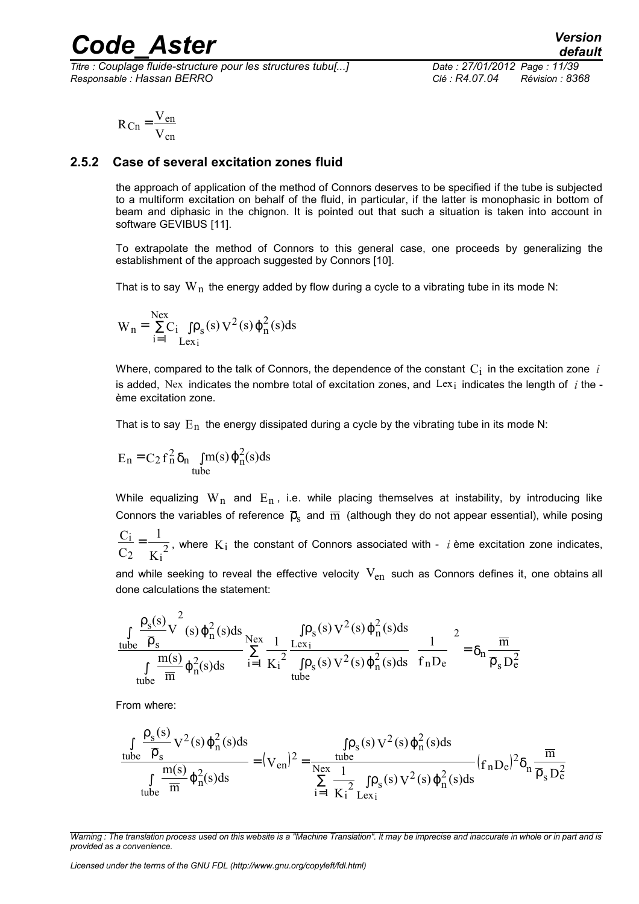*Titre : Couplage fluide-structure pour les structures tubu[...] Date : 27/01/2012 Page : 11/39 Responsable : Hassan BERRO Clé : R4.07.04 Révision : 8368*

$$
R_{Cn} = \frac{V_{en}}{V_{cn}}
$$

#### **2.5.2 Case of several excitation zones fluid**

the approach of application of the method of Connors deserves to be specified if the tube is subjected to a multiform excitation on behalf of the fluid, in particular, if the latter is monophasic in bottom of beam and diphasic in the chignon. It is pointed out that such a situation is taken into account in software GEVIBUS [11].

To extrapolate the method of Connors to this general case, one proceeds by generalizing the establishment of the approach suggested by Connors [10].

That is to say  $W_n$  the energy added by flow during a cycle to a vibrating tube in its mode N:

$$
W_n = \sum_{i=1}^{Nex} C_i \int \rho_s(s) V^2(s) \varphi_n^2(s) ds
$$

Where, compared to the talk of Connors, the dependence of the constant  $\mathrm{C}_\mathrm{i}\,$  in the excitation zone  $\,$  *i* is added, Nex indicates the nombre total of excitation zones, and Lex<sub>i</sub> indicates the length of  *the* ème excitation zone.

That is to say  $E_n$  the energy dissipated during a cycle by the vibrating tube in its mode N:

$$
E_n = C_2 f_n^2 \delta_n \int_{tube} m(s) \varphi_n^2(s) ds
$$

While equalizing  $W_n$  and  $E_n$ , i.e. while placing themselves at instability, by introducing like Connors the variables of reference  $\bar{p}_s$  and  $\bar{m}$  (although they do not appear essential), while posing

K 1  $\mathcal{C}_{0}^{(n)}$  $\mathcal{C}_{0}^{(n)}$ i  $\frac{1}{2} = \frac{1}{K_i^2}$ , where  $K_i$  the constant of Connors associated with - *i* ème excitation zone indicates,

and while seeking to reveal the effective velocity  $V_{en}$  such as Connors defines it, one obtains all done calculations the statement:

$$
\frac{\int\limits_{tube} \frac{\rho_s(s)}{\overline{\rho}_s} V^2(s) \phi_n^2(s) ds}{\int\limits_{tube} \frac{m(s)}{\overline{m}} \phi_n^2(s) ds} \sum_{i=1}^{Nex} \frac{\int\limits_{K_i^2} \rho_s(s) V^2(s) \phi_n^2(s) ds}{\int\limits_{tube} \phi_n^2(s) ds} \Bigg( \frac{1}{f_n D_e} \Bigg)^2 = \delta_n \frac{\overline{m}}{\overline{\rho}_s D_e^2}
$$

From where:

$$
\frac{\int\limits_{tube}\frac{\rho_s(s)}{\overline{\rho}_s}V^2(s)\phi_n^2(s)ds}{\int\limits_{tube}\frac{m(s)}{\overline{m}}\phi_n^2(s)ds}=[V_{en})^2=\frac{\int\limits_{tube}\rho_s(s)V^2(s)\phi_n^2(s)ds}{\sum\limits_{i=1}^{Nex}\frac{1}{K_i^2}\int\limits_{Lex_i}\rho_s(s)V^2(s)\phi_n^2(s)ds}(f_nD_e)^2\delta_n\frac{\overline{m}}{\overline{\rho}_sD_e^2}
$$

*Licensed under the terms of the GNU FDL (http://www.gnu.org/copyleft/fdl.html)*

*Warning : The translation process used on this website is a "Machine Translation". It may be imprecise and inaccurate in whole or in part and is provided as a convenience.*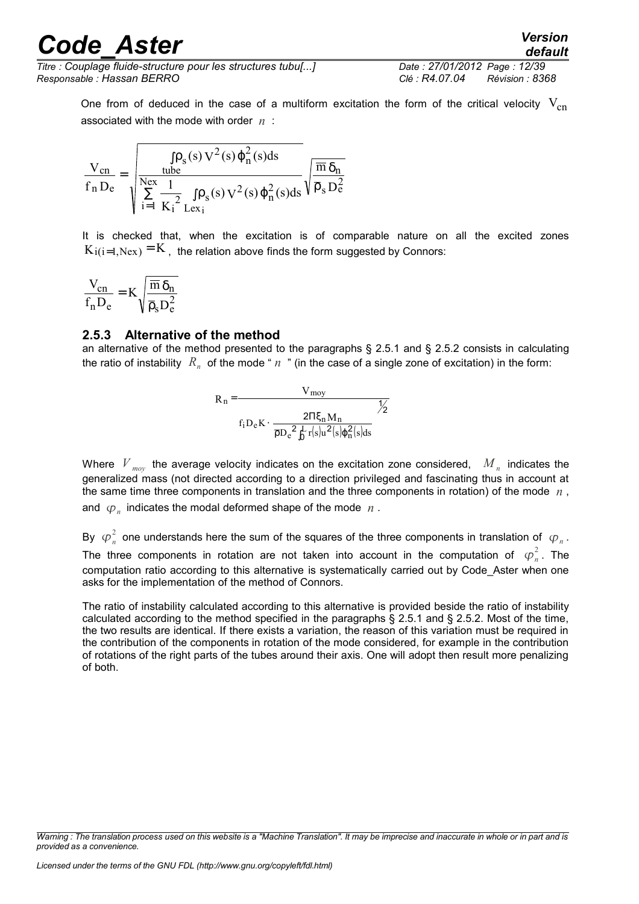*Titre : Couplage fluide-structure pour les structures tubu[...] Date : 27/01/2012 Page : 12/39 Responsable : Hassan BERRO Clé : R4.07.04 Révision : 8368*

One from of deduced in the case of a multiform excitation the form of the critical velocity  $V_{cn}$ associated with the mode with order *n* :

$$
\frac{V_{cn}}{f_n D_e} = \sqrt{\frac{\int \rho_s(s)\,V^2(s)\,\phi_n^2(s)ds}{\sum\limits_{i=1}^{Nex}\frac{1}{K_i^2}\int \rho_s(s)\,V^2(s)\,\phi_n^2(s)ds}\sqrt{\frac{\overline{m}\,\delta_n}{\overline{\rho}_s\,D_e^2}}}
$$

It is checked that, when the excitation is of comparable nature on all the excited zones  $K_{i(i=1, \text{Nex})} = K$ , the relation above finds the form suggested by Connors:

$$
\frac{V_{cn}}{f_n D_e} = K \sqrt{\frac{\overline{m} \, \delta_n}{\overline{\rho}_s D_e^2}}
$$

#### **2.5.3 Alternative of the method**

an alternative of the method presented to the paragraphs § 2.5.1 and § 2.5.2 consists in calculating the ratio of instability  $\ R_n^{}$  of the mode "  $n$  " (in the case of a single zone of excitation) in the form:



Where  $\left| V_{_{mop}} \right|$  the average velocity indicates on the excitation zone considered,  $\left| M_{_{n}} \right|$  indicates the generalized mass (not directed according to a direction privileged and fascinating thus in account at the same time three components in translation and the three components in rotation) of the mode *n* , and  $\varphi_n$  indicates the modal deformed shape of the mode  $n$  .

By  $\varphi_n^2$  one understands here the sum of the squares of the three components in translation of  $\varphi_n$ . The three components in rotation are not taken into account in the computation of  $\varphi_n^2$ . The computation ratio according to this alternative is systematically carried out by Code\_Aster when one asks for the implementation of the method of Connors.

The ratio of instability calculated according to this alternative is provided beside the ratio of instability calculated according to the method specified in the paragraphs § 2.5.1 and § 2.5.2. Most of the time, the two results are identical. If there exists a variation, the reason of this variation must be required in the contribution of the components in rotation of the mode considered, for example in the contribution of rotations of the right parts of the tubes around their axis. One will adopt then result more penalizing of both.

*Warning : The translation process used on this website is a "Machine Translation". It may be imprecise and inaccurate in whole or in part and is provided as a convenience.*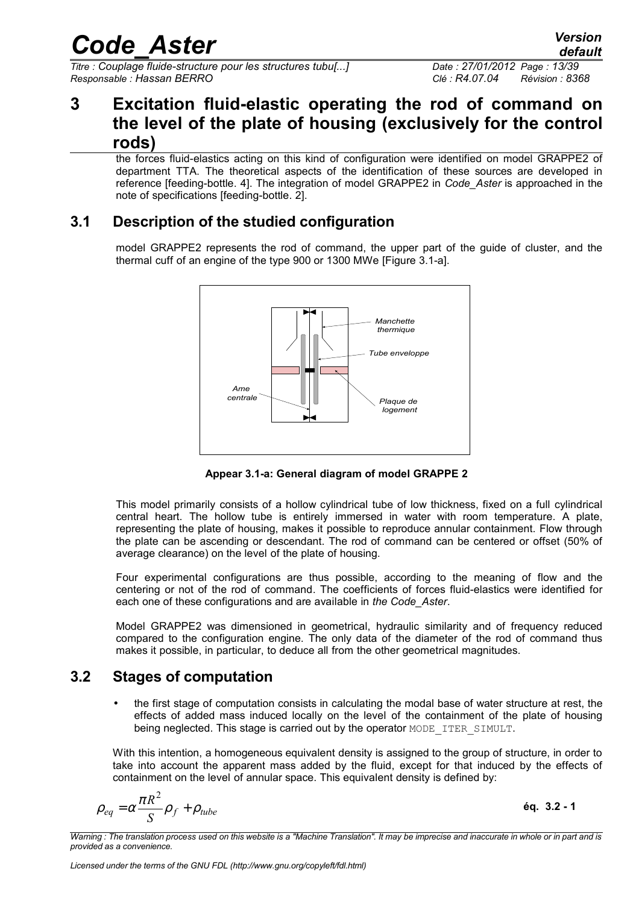*Titre : Couplage fluide-structure pour les structures tubu[...] Date : 27/01/2012 Page : 13/39 Responsable : Hassan BERRO Clé : R4.07.04 Révision : 8368*

# **3 Excitation fluid-elastic operating the rod of command on the level of the plate of housing (exclusively for the control rods)**

the forces fluid-elastics acting on this kind of configuration were identified on model GRAPPE2 of department TTA. The theoretical aspects of the identification of these sources are developed in reference [feeding-bottle. 4]. The integration of model GRAPPE2 in *Code\_Aster* is approached in the note of specifications [feeding-bottle. 2].

### **3.1 Description of the studied configuration**

model GRAPPE2 represents the rod of command, the upper part of the guide of cluster, and the thermal cuff of an engine of the type 900 or 1300 MWe [Figure 3.1-a].



**Appear 3.1-a: General diagram of model GRAPPE 2**

This model primarily consists of a hollow cylindrical tube of low thickness, fixed on a full cylindrical central heart. The hollow tube is entirely immersed in water with room temperature. A plate, representing the plate of housing, makes it possible to reproduce annular containment. Flow through the plate can be ascending or descendant. The rod of command can be centered or offset (50% of average clearance) on the level of the plate of housing.

Four experimental configurations are thus possible, according to the meaning of flow and the centering or not of the rod of command. The coefficients of forces fluid-elastics were identified for each one of these configurations and are available in *the Code\_Aster*.

Model GRAPPE2 was dimensioned in geometrical, hydraulic similarity and of frequency reduced compared to the configuration engine. The only data of the diameter of the rod of command thus makes it possible, in particular, to deduce all from the other geometrical magnitudes.

### **3.2 Stages of computation**

• the first stage of computation consists in calculating the modal base of water structure at rest, the effects of added mass induced locally on the level of the containment of the plate of housing being neglected. This stage is carried out by the operator MODE\_ITER\_SIMULT.

With this intention, a homogeneous equivalent density is assigned to the group of structure, in order to take into account the apparent mass added by the fluid, except for that induced by the effects of containment on the level of annular space. This equivalent density is defined by:

$$
\rho_{eq} = \alpha \frac{\pi R^2}{S} \rho_f + \rho_{tube}
$$

**éq. 3.2 - 1**

*Warning : The translation process used on this website is a "Machine Translation". It may be imprecise and inaccurate in whole or in part and is provided as a convenience.*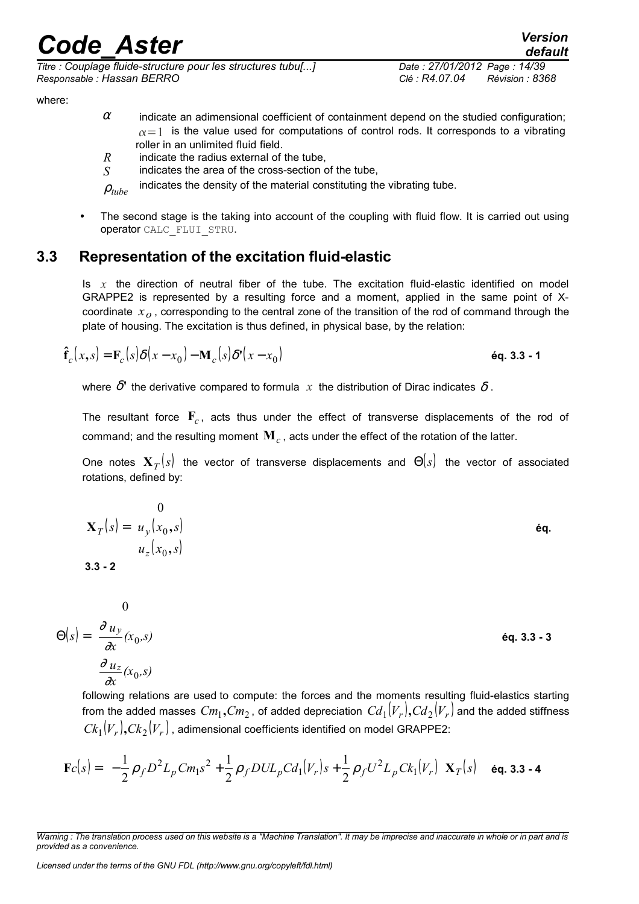*Titre : Couplage fluide-structure pour les structures tubu[...] Date : 27/01/2012 Page : 14/39 Responsable : Hassan BERRO Clé : R4.07.04 Révision : 8368*

*default*

where:

- $\alpha$  indicate an adimensional coefficient of containment depend on the studied configuration:  $\alpha$  = 1 is the value used for computations of control rods. It corresponds to a vibrating roller in an unlimited fluid field.
- *R* indicate the radius external of the tube,
- *S* indicates the area of the cross-section of the tube,

 $\rho_{tube}$  indicates the density of the material constituting the vibrating tube.

The second stage is the taking into account of the coupling with fluid flow. It is carried out using operator CALC\_FLUI\_STRU.

### **3.3 Representation of the excitation fluid-elastic**

Is *x* the direction of neutral fiber of the tube. The excitation fluid-elastic identified on model GRAPPE2 is represented by a resulting force and a moment, applied in the same point of Xcoordinate *xo* , corresponding to the central zone of the transition of the rod of command through the plate of housing. The excitation is thus defined, in physical base, by the relation:

$$
\hat{\mathbf{f}}_c(x,s) = \mathbf{F}_c(s)\delta(x-x_0) - \mathbf{M}_c(s)\delta'(x-x_0)
$$
\n
$$
\mathbf{e}\mathbf{q}. \mathbf{3.3 - 1}
$$

where  $\delta'$  the derivative compared to formula  $x$  the distribution of Dirac indicates  $\delta$ .

The resultant force  $\mathbf{F}_c$ , acts thus under the effect of transverse displacements of the rod of command; and the resulting moment  $\mathbf{M}_c$  , acts under the effect of the rotation of the latter.

One notes  ${\bf X}_{T}(s)$  the vector of transverse displacements and  $\Theta(s)$  the vector of associated rotations, defined by:

| $\mathbf{X}_T(s) = \begin{pmatrix} 0 \\ u_y(x_0, s) \\ u_z(x_0, s) \end{pmatrix}$<br>$3.3 - 2$                                      | éq.           |
|-------------------------------------------------------------------------------------------------------------------------------------|---------------|
| $\Theta(s) = \begin{pmatrix} 0 \\ \frac{\partial u_y}{\partial x}(x_0, s) \\ \frac{\partial u_z}{\partial x}(x_0, s) \end{pmatrix}$ | $éq. 3.3 - 3$ |

following relations are used to compute: the forces and the moments resulting fluid-elastics starting from the added masses  $\mathit{Cm}_1, \mathit{Cm}_2$  , of added depreciation  $\mathit{Cd}_1(V_r), \mathit{Cd}_2(V_r)$  and the added stiffness  $Ck_1(V_r),$   $Ck_2(V_r)$  , adimensional coefficients identified on model GRAPPE2:

$$
\mathbf{F}c(s) = \left\{-\frac{1}{2}\rho_f D^2 L_p C m_1 s^2 + \frac{1}{2}\rho_f D U L_p C d_1(V_r) s + \frac{1}{2}\rho_f U^2 L_p C k_1(V_r)\right\} \mathbf{X}_T(s) \quad \text{6q. 3.3 - 4}
$$

*Warning : The translation process used on this website is a "Machine Translation". It may be imprecise and inaccurate in whole or in part and is provided as a convenience.*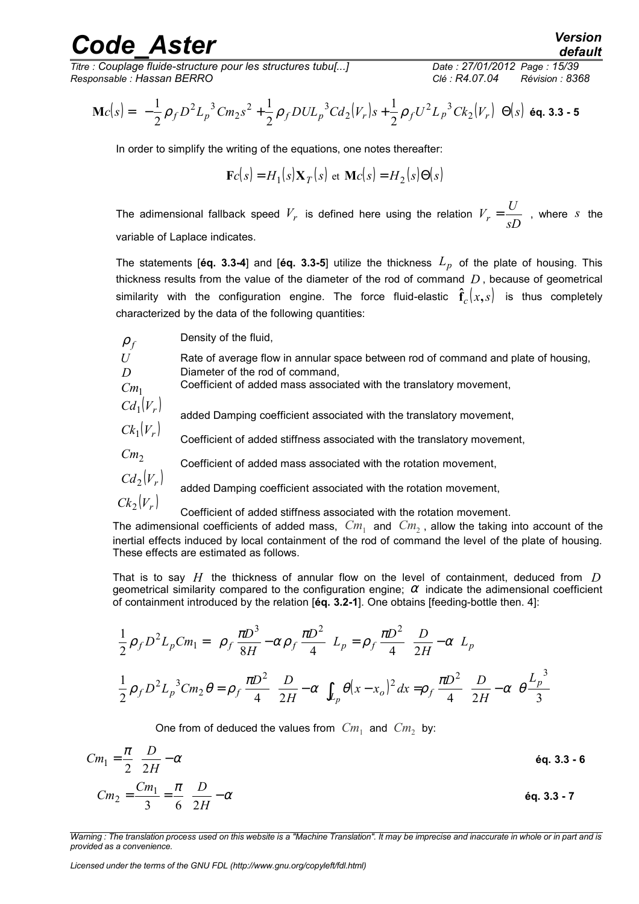*Titre : Couplage fluide-structure pour les structures tubu[...] Date : 27/01/2012 Page : 15/39 Responsable : Hassan BERRO Clé : R4.07.04 Révision : 8368*

$$
\mathbf{M}c(s) = \left\{-\frac{1}{2}\rho_f D^2 L_p^3 C m_2 s^2 + \frac{1}{2}\rho_f D U L_p^3 C d_2(V_r) s + \frac{1}{2}\rho_f U^2 L_p^3 C k_2(V_r)\right\} \Theta(s)
$$

In order to simplify the writing of the equations, one notes thereafter:

$$
\mathbf{F}c(s) = H_1(s)\mathbf{X}_T(s) \text{ et } \mathbf{M}c(s) = H_2(s)\Theta(s)
$$

The adimensional fallback speed  $V_r$  is defined here using the relation  $V_r = \frac{S}{sD}$  $V_r = \frac{U}{rD}$ , where *s* the variable of Laplace indicates.

The statements [**éq. 3.3-4**] and [**éq. 3.3-5**] utilize the thickness *Lp* of the plate of housing. This thickness results from the value of the diameter of the rod of command *D* , because of geometrical similarity with the configuration engine. The force fluid-elastic  $\hat{\mathbf{f}}_c(x,s)$  is thus completely characterized by the data of the following quantities:

 $\rho_f$ Density of the fluid,

*U* Rate of average flow in annular space between rod of command and plate of housing, *D* Diameter of the rod of command,

 $Cm_1$ Coefficient of added mass associated with the translatory movement,

 $Cd_1(V_r)$ added Damping coefficient associated with the translatory movement,

- $Ck_1(V_r)$  Coefficient of added stiffness associated with the translatory movement,
- *Cm*<sup>2</sup> Coefficient of added mass associated with the rotation movement,
- $Cd_2(V_r)$ added Damping coefficient associated with the rotation movement,

 $Ck_2(V_r)$  Coefficient of added stiffness associated with the rotation movement.

The adimensional coefficients of added mass,  $\,Cm_1^{}\,$  and  $\,Cm_2^{}\,$ , allow the taking into account of the inertial effects induced by local containment of the rod of command the level of the plate of housing. These effects are estimated as follows.

That is to say *H* the thickness of annular flow on the level of containment, deduced from *D* geometrical similarity compared to the configuration engine;  $\alpha$  indicate the adimensional coefficient of containment introduced by the relation [**éq. 3.2-1**]. One obtains [feeding-bottle then. 4]:

$$
\frac{1}{2}\rho_f D^2 L_p C m_1 = \left\{ \rho_f \frac{\pi D^3}{8H} - \alpha \rho_f \frac{\pi D^2}{4} \right\} L_p = \rho_f \frac{\pi D^2}{4} \left\{ \frac{D}{2H} - \alpha \right\} L_p
$$
  

$$
\frac{1}{2}\rho_f D^2 L_p{}^3 C m_2 \theta = \rho_f \frac{\pi D^2}{4} \left\{ \frac{D}{2H} - \alpha \right\} \int_{L_p} \theta (x - x_o)^2 dx = \rho_f \frac{\pi D^2}{4} \left\{ \frac{D}{2H} - \alpha \right\} \theta \frac{L_p{}^3}{3}
$$

One from of deduced the values from  $\,Cm_1\,$  and  $\,Cm_2\,$  by:

$$
Cm_1 = \frac{\pi}{2} \left\{ \frac{D}{2H} - \alpha \right\}
$$
  
\n
$$
Cm_2 = \frac{Cm_1}{3} = \frac{\pi}{6} \left\{ \frac{D}{2H} - \alpha \right\}
$$
  
\n
$$
\text{Eq. 3.3 - 6}
$$
  
\n
$$
\text{Eq. 3.3 - 7}
$$

*Warning : The translation process used on this website is a "Machine Translation". It may be imprecise and inaccurate in whole or in part and is provided as a convenience.*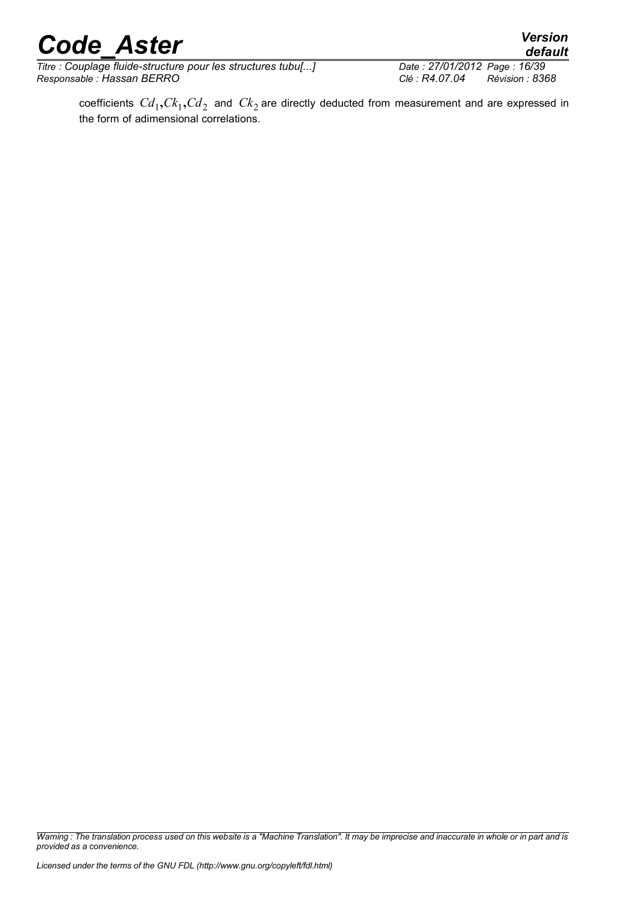*Titre : Couplage fluide-structure pour les structures tubu[...] Date : 27/01/2012 Page : 16/39 Responsable : Hassan BERRO Clé : R4.07.04 Révision : 8368*

*default*

*Warning : The translation process used on this website is a "Machine Translation". It may be imprecise and inaccurate in whole or in part and is provided as a convenience.*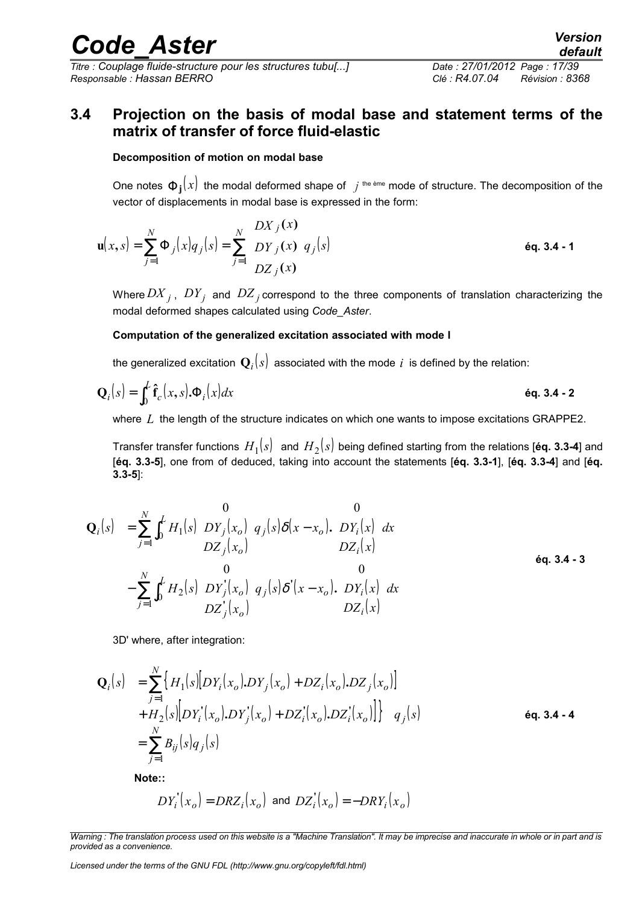*Titre : Couplage fluide-structure pour les structures tubu[...] Date : 27/01/2012 Page : 17/39 Responsable : Hassan BERRO Clé : R4.07.04 Révision : 8368*

## **3.4 Projection on the basis of modal base and statement terms of the matrix of transfer of force fluid-elastic**

#### **Decomposition of motion on modal base**

One notes  $\Phi_{\bf j}(x)$  the modal deformed shape of  $\,$   $j$  <sup>the ème</sup> mode of structure. The decomposition of the vector of displacements in modal base is expressed in the form:

$$
\mathbf{u}(x,s) = \sum_{j=1}^{N} \Phi_j(x) q_j(s) = \sum_{j=1}^{N} \begin{pmatrix} DX_j(x) \\ DY_j(x) \\ DZ_j(x) \end{pmatrix} q_j(s)
$$
éq. 3.4 - 1

Where  $DX_{j}$  ,  $DY_{j}$  and  $\,DZ_{j}$  correspond to the three components of translation characterizing the modal deformed shapes calculated using *Code\_Aster*.

#### **Computation of the generalized excitation associated with mode I**

the generalized excitation  $\mathbf{Q}_i(s)$  associated with the mode  $\,i\,$  is defined by the relation:

$$
\mathbf{Q}_i(s) = \int_0^L \mathbf{\hat{f}}_c(x, s) \cdot \Phi_i(x) dx
$$

where L the length of the structure indicates on which one wants to impose excitations GRAPPE2.

Transfer transfer functions  $H_1(s)$  and  $H_2(s)$  being defined starting from the relations [**éq. 3.3-4**] and [**éq. 3.3-5**], one from of deduced, taking into account the statements [**éq. 3.3-1**], [**éq. 3.3-4**] and [**éq. 3.3-5**]:

$$
\mathbf{Q}_{i}(s) = \sum_{j=1}^{N} \int_{0}^{L} H_{1}(s) \begin{pmatrix} 0 \\ DY_{j}(x_{o}) \\ DZ_{j}(x_{o}) \end{pmatrix} q_{j}(s) \delta(x - x_{o}). \begin{pmatrix} 0 \\ DY_{i}(x) \\ DZ_{i}(x) \end{pmatrix} dx
$$
  
\n
$$
- \sum_{j=1}^{N} \int_{0}^{L} H_{2}(s) \begin{pmatrix} 0 \\ DY_{j}(x_{o}) \\ DZ_{j}(x_{o}) \end{pmatrix} q_{j}(s) \delta'(x - x_{o}). \begin{pmatrix} 0 \\ DY_{i}(x) \\ DZ_{i}(x) \end{pmatrix} dx
$$

3D' where, after integration:

$$
\mathbf{Q}_{i}(s) = \sum_{j=1}^{N} \left\{ H_{1}(s) \left[ DY_{i}(x_{o}), DY_{j}(x_{o}) + DZ_{i}(x_{o}), DZ_{j}(x_{o}) \right] \right. \n+ H_{2}(s) \left[ DY_{i}(x_{o}), DY_{j}(x_{o}) + DZ_{i}(x_{o}), DZ_{i}(x_{o}) \right] \right\} \quad q_{j}(s) \n= \sum_{j=1}^{N} B_{ij}(s) q_{j}(s)
$$
\n
$$
(4.3.4 - 4.4)
$$

**Note::**

$$
DY_i'(x_o) = DRZ_i(x_o) \text{ and } DZ_i'(x_o) = -DRY_i(x_o)
$$

*Licensed under the terms of the GNU FDL (http://www.gnu.org/copyleft/fdl.html)*

*Warning : The translation process used on this website is a "Machine Translation". It may be imprecise and inaccurate in whole or in part and is provided as a convenience.*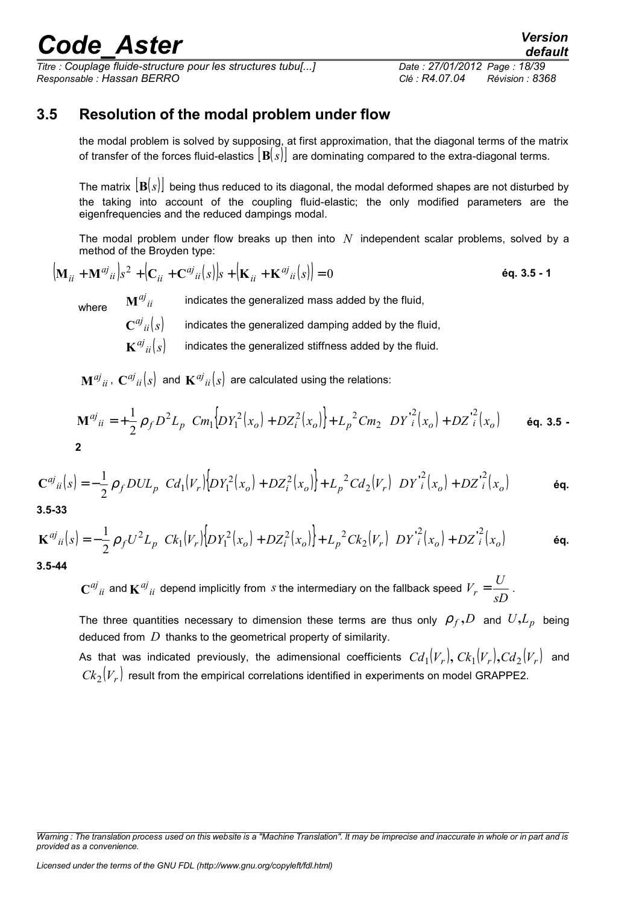*Titre : Couplage fluide-structure pour les structures tubu[...] Date : 27/01/2012 Page : 18/39 Responsable : Hassan BERRO Clé : R4.07.04 Révision : 8368*

### **3.5 Resolution of the modal problem under flow**

the modal problem is solved by supposing, at first approximation, that the diagonal terms of the matrix of transfer of the forces fluid-elastics [**B**(*s*)] are dominating compared to the extra-diagonal terms.

The matrix [**B**(*s*)] being thus reduced to its diagonal, the modal deformed shapes are not disturbed by the taking into account of the coupling fluid-elastic; the only modified parameters are the eigenfrequencies and the reduced dampings modal.

The modal problem under flow breaks up then into *N* independent scalar problems, solved by a method of the Broyden type:

$$
\left(\mathbf{M}_{ii} + \mathbf{M}^{aj}{}_{ii}\right)s^2 + \left(\mathbf{C}_{ii} + \mathbf{C}^{aj}{}_{ii}(s)\right)s + \left(\mathbf{K}_{ii} + \mathbf{K}^{aj}{}_{ii}(s)\right) = 0
$$

where  $\mathbf{M}^{aj}$  iii indicates the generalized mass added by the fluid,

 ${\bf C}^{aj}{}_{ii}(s)$ indicates the generalized damping added by the fluid,

 $\mathbf{K}^{aj}$ <sub>ii</sub> $(s)$ indicates the generalized stiffness added by the fluid.

 $\mathbf{M}^{aj}{}_{ii}$  ,  $\mathbf{C}^{aj}{}_{ii}(s)$  and  $\mathbf{K}^{aj}{}_{ii}(s)$  are calculated using the relations:

$$
\mathbf{M}^{aj}_{ii} = +\frac{1}{2} \rho_f D^2 L_p \bigg[ C m_1 \Big[ D Y_1^2(x_o) + D Z_i^2(x_o) \Big] + L_p^2 C m_2 \Big\{ D Y_i^2(x_o) + D Z_i^2(x_o) \Big\} \bigg] \quad \text{6q. 3.5 -}
$$

$$
\mathbf{C}^{aj}{}_{ii}(s) = -\frac{1}{2}\rho_f DUL_p \bigg[ Cd_1(V_r)\bigg[DY_1^2(x_o) + DZ_i^2(x_o)\bigg] + L_p^2 Cd_2(V_r)\bigg\{DY_i^2(x_o) + DZ_i^2(x_o)\bigg\}\bigg] \qquad \text{6q.}
$$

**3.5-33**

$$
\mathbf{K}^{aj}{}_{ii}(s) = -\frac{1}{2}\rho_f U^2 L_p \bigg[ C k_1(V_r) \bigg[ DY_1^2(x_o) + D Z_i^2(x_o) \bigg] + L_p^2 C k_2(V_r) \bigg\{ DY_i^2(x_o) + D Z_i^2(x_o) \bigg\} \bigg]
$$
\n
$$
\textbf{6q.}
$$
\n3.5-44

 $C^{aj}{}_{ii}$  and  $K^{aj}{}_{ii}$  depend implicitly from *s* the intermediary on the fallback speed  $V_r = \frac{C}{sD}$  $V_r = \frac{U}{2D}$ .

The three quantities necessary to dimension these terms are thus only  $\rho_f$ , *D* and  $U, L_p$  being deduced from *D* thanks to the geometrical property of similarity.

As that was indicated previously, the adimensional coefficients  $Cd_1 ( V_r ), C k_1 ( V_r ), C d_2 ( V_r )$  and  ${\it Ck}_2(V_r)$  result from the empirical correlations identified in experiments on model GRAPPE2.

*Warning : The translation process used on this website is a "Machine Translation". It may be imprecise and inaccurate in whole or in part and is provided as a convenience.*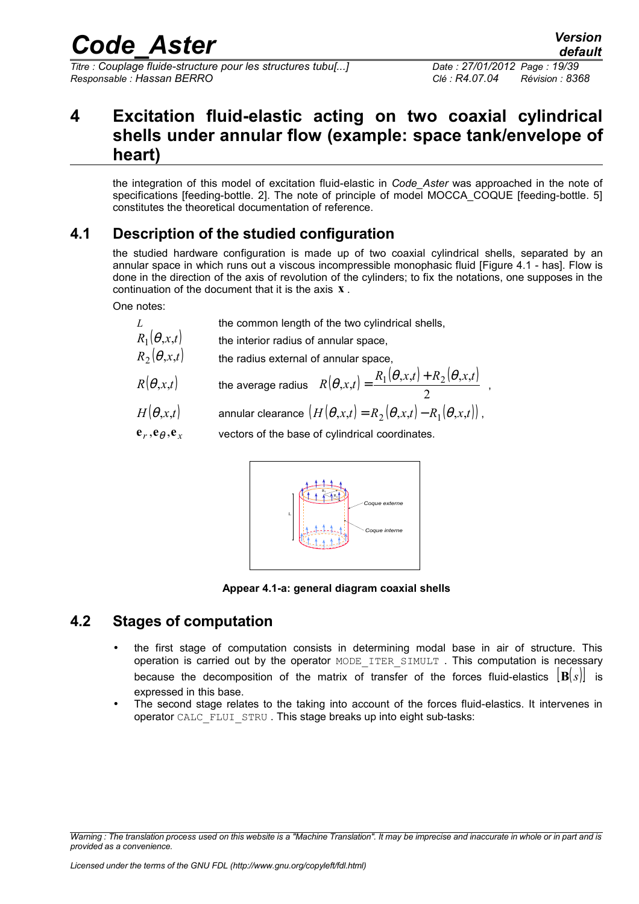*Titre : Couplage fluide-structure pour les structures tubu[...] Date : 27/01/2012 Page : 19/39 Responsable : Hassan BERRO Clé : R4.07.04 Révision : 8368*

 $\overline{\phantom{a}}$ 

## **4 Excitation fluid-elastic acting on two coaxial cylindrical shells under annular flow (example: space tank/envelope of heart)**

the integration of this model of excitation fluid-elastic in *Code\_Aster* was approached in the note of specifications [feeding-bottle, 2]. The note of principle of model MOCCA\_COQUE [feeding-bottle, 5] constitutes the theoretical documentation of reference.

### **4.1 Description of the studied configuration**

the studied hardware configuration is made up of two coaxial cylindrical shells, separated by an annular space in which runs out a viscous incompressible monophasic fluid [Figure 4.1 - has]. Flow is done in the direction of the axis of revolution of the cylinders; to fix the notations, one supposes in the continuation of the document that it is the axis **x** .

One notes:

- *L* the common length of the two cylindrical shells,
- $R_1(\theta, x,t)$  the interior radius of annular space,
- $R_2(\theta, x,t)$  the radius external of annular space.
- $R(\theta, x, t)$  the average radius  $R(\theta, x, t) = \frac{R_1(\theta, x, t) + R_2(\theta, x, t)}{2}$ I  $\overline{a}$  $(x,t) + R_2(\theta, x,$  $R(\theta, x, t) = \frac{R_1(\theta, x, t) + R_2(\theta, x, t)}{2}$  $\theta$ ,x,t) =  $\frac{(-1)^{(-1)(-1)(-1)(-1)(-1)(-1)}}{2}$ ,

$$
\sum_{i=1}^{n_1} \frac{1}{i!} \sum_{i=1}^{n_2} \frac{1}{i!} \sum_{i=1}^{n_3} \frac{1}{i!} \sum_{i=1}^{n_4} \frac{1}{i!} \sum_{i=1}^{n_5} \frac{1}{i!} \sum_{i=1}^{n_6} \frac{1}{i!} \sum_{i=1}^{n_7} \frac{1}{i!} \sum_{i=1}^{n_8} \frac{1}{i!} \sum_{i=1}^{n_9} \frac{1}{i!} \sum_{i=1}^{n_8} \frac{1}{i!} \sum_{i=1}^{n_9} \frac{1}{i!} \sum_{i=1}^{n_9} \frac{1}{i!} \sum_{i=1}^{n_9} \frac{1}{i!} \sum_{i=1}^{n_1} \frac{1}{i!} \sum_{i=1}^{n_1} \frac{1}{i!} \sum_{i=1}^{n_1} \frac{1}{i!} \sum_{i=1}^{n_1} \frac{1}{i!} \sum_{i=1}^{n_2} \frac{1}{i!} \sum_{i=1}^{n_1} \frac{1}{i!} \sum_{i=1}^{n_1} \frac{1}{i!} \sum_{i=1}^{n_1} \frac{1}{i!} \sum_{i=1}^{n_1} \frac{1}{i!} \sum_{i=1}^{n_1} \frac{1}{i!} \sum_{i=1}^{n_1} \frac{1}{i!} \sum_{i=1}^{n_1} \frac{1}{i!} \sum_{i=1}^{n_1} \frac{1}{i!} \sum_{i=1}^{n_1} \frac{1}{i!} \sum_{i=1}^{n_1} \frac{1}{i!} \sum_{i=1}^{n_1} \frac{1}{i!} \sum_{i=1}^{n_1} \frac{1}{i!} \sum_{i=1}^{n_1} \frac{1}{i!} \sum_{i=1}^{n_1} \frac{1}{i!} \sum_{i=1}^{n_1} \frac{1}{i!} \sum_{i=1}^{n_1} \frac{1}{i!} \sum_{i=1}^{n_2} \frac{1}{i!} \sum_{i=1}^{n_1} \frac{1}{i!} \sum_{i=1}^{n_2} \frac{1}{i!} \sum_{i=1}^{n_3} \frac{1}{i!}
$$

- $H(\theta, x,t)$  annular clearance  $(H(\theta, x,t) = R_2(\theta, x,t) R_1(\theta, x,t))$
- $e_r$ ,  $e_\theta$ ,  $e_x$ vectors of the base of cylindrical coordinates.



**Appear 4.1-a: general diagram coaxial shells**

### **4.2 Stages of computation**

- the first stage of computation consists in determining modal base in air of structure. This operation is carried out by the operator MODE ITER SIMULT. This computation is necessary because the decomposition of the matrix of transfer of the forces fluid-elastics  $|\mathbf{B}(s)|$  is expressed in this base.
- The second stage relates to the taking into account of the forces fluid-elastics. It intervenes in operator CALC\_FLUI\_STRU. This stage breaks up into eight sub-tasks:

*Warning : The translation process used on this website is a "Machine Translation". It may be imprecise and inaccurate in whole or in part and is provided as a convenience.*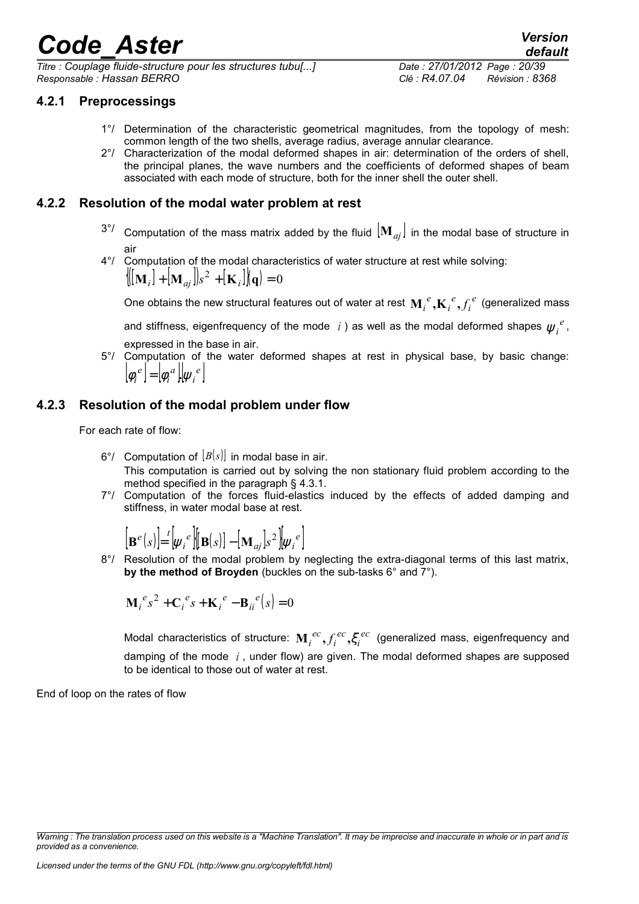*Titre : Couplage fluide-structure pour les structures tubu[...] Date : 27/01/2012 Page : 20/39 Responsable : Hassan BERRO Clé : R4.07.04 Révision : 8368*

### **4.2.1 Preprocessings**

- 1°/ Determination of the characteristic geometrical magnitudes, from the topology of mesh: common length of the two shells, average radius, average annular clearance.
- 2°/ Characterization of the modal deformed shapes in air: determination of the orders of shell, the principal planes, the wave numbers and the coefficients of deformed shapes of beam associated with each mode of structure, both for the inner shell the outer shell.

### **4.2.2 Resolution of the modal water problem at rest**

- $3^{\circ}$ / Computation of the mass matrix added by the fluid  $|\mathbf{M}_{ai}|$  in the modal base of structure in air
- 4°/ Computation of the modal characteristics of water structure at rest while solving:  $\langle [\mathbf{M}_i] + [\mathbf{M}_{aj}] \rangle s^2 + [\mathbf{K}_i] \rangle \langle \mathbf{q} \rangle = 0$

One obtains the new structural features out of water at rest  $\mathbf{M}_i^{\ e},\!\mathbf{K}_i^{\ e},\!f_i^{\ e}$ *e i*  $\mathbf{M}_{i}^{\phantom{\dag}}$   $_{i}^{\phantom{\dag}}\mathbf{K}_{i}^{\phantom{\dag}}$   $_{i}^{\phantom{\dag}}f_{i}^{\phantom{\dag}}$  (generalized mass

and stiffness, eigenfrequency of the mode  $|i\>$  as well as the modal deformed shapes  $\psi_i^{\;e},$ expressed in the base in air.

5°/ Computation of the water deformed shapes at rest in physical base, by basic change:  $|\phi_i^e| = |\phi_i^a| |\psi_i^e|$ *i a*  $[\phi_i^{\ e}] = [\phi_i^{\ a}]$ . $[\psi_i^{\ e}]$  $\int_{\phi_i}$ e

### **4.2.3 Resolution of the modal problem under flow**

For each rate of flow:

- 6°/ Computation of [*B*(*s*)] in modal base in air. This computation is carried out by solving the non stationary fluid problem according to the method specified in the paragraph § 4.3.1.
- 7°/ Computation of the forces fluid-elastics induced by the effects of added damping and stiffness, in water modal base at rest.

$$
\left[\mathbf{B}^{e}(s)\right] = \left[\psi_{i}^{e}\right] \left[\mathbf{B}(s)\right] - \left[\mathbf{M}_{aj}\right]s^{2}\left]\psi_{i}^{e}\right]
$$

8°/ Resolution of the modal problem by neglecting the extra-diagonal terms of this last matrix, **by the method of Broyden** (buckles on the sub-tasks 6° and 7°).

$$
\mathbf{M}_{i}^{e} s^{2} + \mathbf{C}_{i}^{e} s + \mathbf{K}_{i}^{e} - \mathbf{B}_{ii}^{e} (s) = 0
$$

Modal characteristics of structure:  $\mathbf{M}_i^{~ec}, f_i^{~ec}, \mathbf{\zeta}_i^{~ec}$ *ec i*  $\mathbf{M}_i^{ec}, f_i^{ec}, \xi_i^{ec}$  (generalized mass, eigenfrequency and damping of the mode *i* , under flow) are given. The modal deformed shapes are supposed to be identical to those out of water at rest.

End of loop on the rates of flow

*Warning : The translation process used on this website is a "Machine Translation". It may be imprecise and inaccurate in whole or in part and is provided as a convenience.*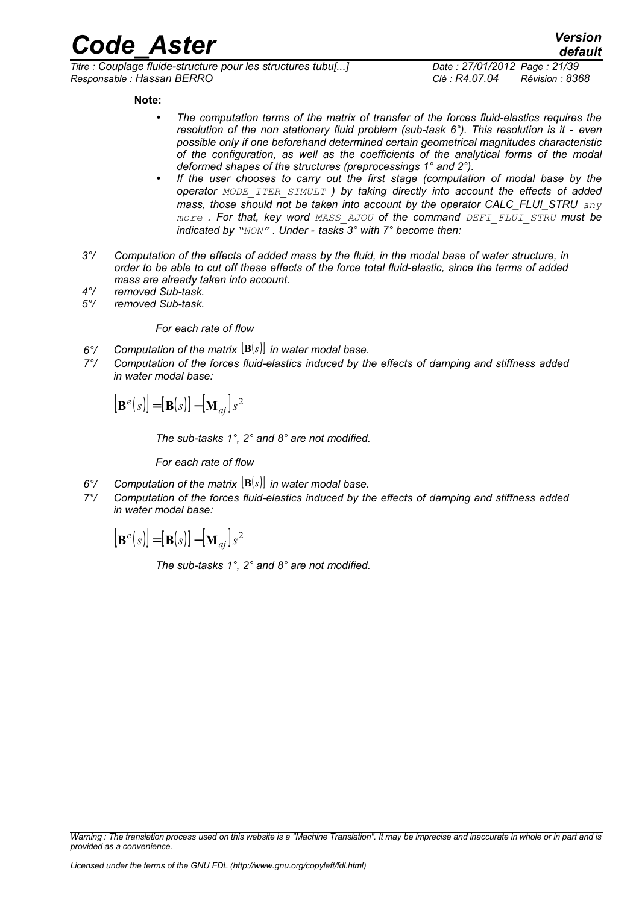*Titre : Couplage fluide-structure pour les structures tubu[...] Date : 27/01/2012 Page : 21/39 Responsable : Hassan BERRO Clé : R4.07.04 Révision : 8368*

#### **Note:**

- *The computation terms of the matrix of transfer of the forces fluid-elastics requires the resolution of the non stationary fluid problem (sub-task 6°). This resolution is it - even possible only if one beforehand determined certain geometrical magnitudes characteristic of the configuration, as well as the coefficients of the analytical forms of the modal deformed shapes of the structures (preprocessings 1° and 2°).*
- *If the user chooses to carry out the first stage (computation of modal base by the operator MODE\_ITER\_SIMULT ) by taking directly into account the effects of added mass, those should not be taken into account by the operator CALC\_FLUI\_STRU any more . For that, key word MASS\_AJOU of the command DEFI\_FLUI\_STRU must be indicated by "NON" . Under - tasks 3° with 7° become then:*
- *3°/ Computation of the effects of added mass by the fluid, in the modal base of water structure, in order to be able to cut off these effects of the force total fluid-elastic, since the terms of added mass are already taken into account.*
- *4°/ removed Sub-task.*
- *5°/ removed Sub-task.*

#### *For each rate of flow*

- *6°/ Computation of the matrix* [**B**(*s*)] *in water modal base.*
- *7°/ Computation of the forces fluid-elastics induced by the effects of damping and stiffness added in water modal base:*

$$
\left[\mathbf{B}^{e}(s)\right] = \left[\mathbf{B}(s)\right] - \left[\mathbf{M}_{aj}\right]s^{2}
$$

*The sub-tasks 1°, 2° and 8° are not modified.*

*For each rate of flow*

- *6°/ Computation of the matrix* [**B**(*s*)] *in water modal base.*
- *7°/ Computation of the forces fluid-elastics induced by the effects of damping and stiffness added in water modal base:*

 $\left[ \mathbf{B}^e(s) \right] = \left[ \mathbf{B}(s) \right] - \left[ \mathbf{M}_{aj} \right] s^2$ 

*The sub-tasks 1°, 2° and 8° are not modified.*

*Warning : The translation process used on this website is a "Machine Translation". It may be imprecise and inaccurate in whole or in part and is provided as a convenience.*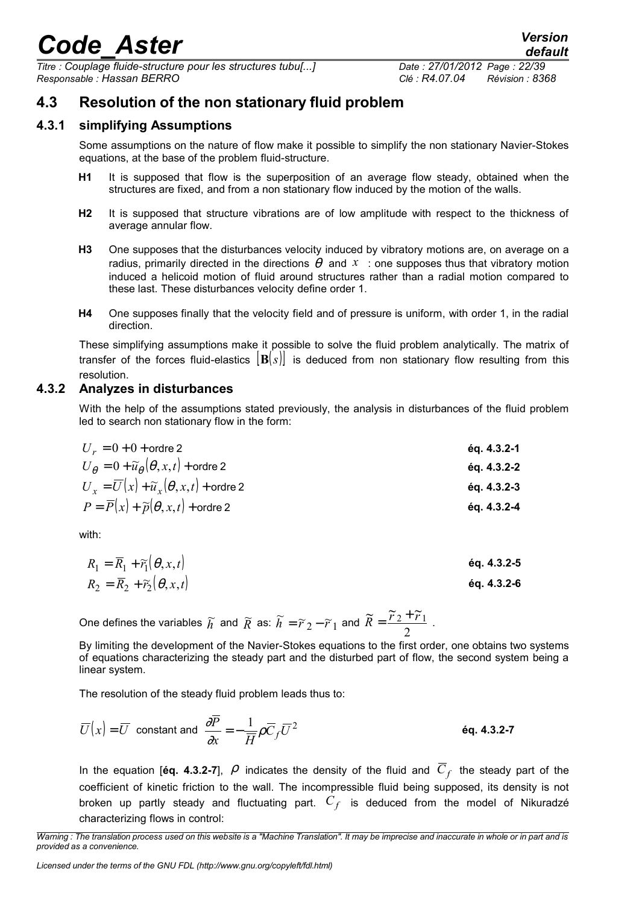*Titre : Couplage fluide-structure pour les structures tubu[...] Date : 27/01/2012 Page : 22/39 Responsable : Hassan BERRO Clé : R4.07.04 Révision : 8368*

### **4.3 Resolution of the non stationary fluid problem**

#### **4.3.1 simplifying Assumptions**

Some assumptions on the nature of flow make it possible to simplify the non stationary Navier-Stokes equations, at the base of the problem fluid-structure.

- **H1** It is supposed that flow is the superposition of an average flow steady, obtained when the structures are fixed, and from a non stationary flow induced by the motion of the walls.
- **H2** It is supposed that structure vibrations are of low amplitude with respect to the thickness of average annular flow.
- **H3** One supposes that the disturbances velocity induced by vibratory motions are, on average on a radius, primarily directed in the directions  $\theta$  and  $x$  : one supposes thus that vibratory motion induced a helicoid motion of fluid around structures rather than a radial motion compared to these last. These disturbances velocity define order 1.
- **H4** One supposes finally that the velocity field and of pressure is uniform, with order 1, in the radial direction.

These simplifying assumptions make it possible to solve the fluid problem analytically. The matrix of transfer of the forces fluid-elastics [**B**(*s*)] is deduced from non stationary flow resulting from this resolution.

#### **4.3.2 Analyzes in disturbances**

With the help of the assumptions stated previously, the analysis in disturbances of the fluid problem led to search non stationary flow in the form:

| $U_r = 0 + 0 + \text{order 2}$                                            | éq. 4.3.2-1 |
|---------------------------------------------------------------------------|-------------|
| $U_{\theta} = 0 + \widetilde{u}_{\theta}(\theta, x, t) + \text{ordre } 2$ | éq. 4.3.2-2 |
| $U_r = \overline{U}(x) + \widetilde{u}_r(\theta, x, t) + \text{order 2}$  | éq. 4.3.2-3 |
| $P = \overline{P}(x) + \widetilde{p}(\theta, x, t) + \text{order 2}$      | éq. 4.3.2-4 |

with:

$$
R_1 = \overline{R}_1 + \widetilde{r}_1(\theta, x, t)
$$
  
\n
$$
R_2 = \overline{R}_2 + \widetilde{r}_2(\theta, x, t)
$$
  
\n
$$
\text{Eq. 4.3.2-5}
$$
  
\n
$$
\text{Eq. 4.3.2-6}
$$

One defines the variables  $\widetilde{h}$  and  $\widetilde{R}$  as:  $\widetilde{h} = \widetilde{r}_2 - \widetilde{r}_1$  and  $\widetilde{R} = \frac{\widetilde{r}_2 + \widetilde{r}_1}{2}$  $\widetilde{R} = \frac{\widetilde{r}_2 + \widetilde{r}_1}{2}$ .

By limiting the development of the Navier-Stokes equations to the first order, one obtains two systems of equations characterizing the steady part and the disturbed part of flow, the second system being a linear system.

The resolution of the steady fluid problem leads thus to:

$$
\overline{U}(x) = \overline{U} \text{ constant and } \frac{\partial \overline{P}}{\partial x} = -\frac{1}{\overline{H}} \rho \overline{C}_f \overline{U}^2
$$

In the equation [éq. 4.3.2-7],  $\rho$  indicates the density of the fluid and  $\overline{C}_f$  the steady part of the coefficient of kinetic friction to the wall. The incompressible fluid being supposed, its density is not broken up partly steady and fluctuating part. *C<sup>f</sup>* is deduced from the model of Nikuradzé characterizing flows in control:

*Licensed under the terms of the GNU FDL (http://www.gnu.org/copyleft/fdl.html)*

*Warning : The translation process used on this website is a "Machine Translation". It may be imprecise and inaccurate in whole or in part and is provided as a convenience.*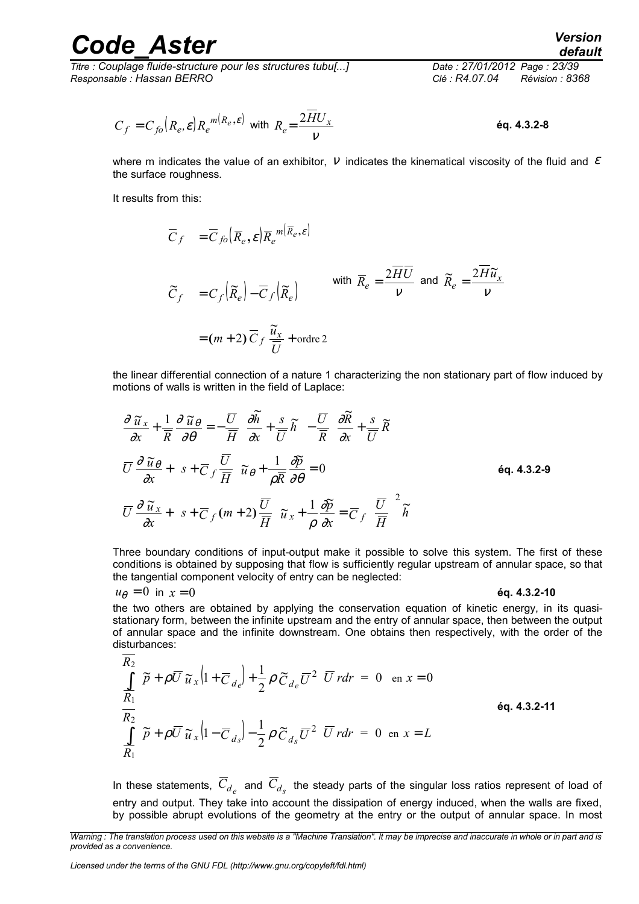*Titre : Couplage fluide-structure pour les structures tubu[...] Date : 27/01/2012 Page : 23/39 Responsable : Hassan BERRO Clé : R4.07.04 Révision : 8368*

# *default*

$$
C_f = C_{f0}(R_e, \varepsilon) R_e^{m(R_e, \varepsilon)}
$$
 with  $R_e = \frac{2\overline{H}U_x}{V}$ 

where m indicates the value of an exhibitor,  $V$  indicates the kinematical viscosity of the fluid and  $\mathcal E$ the surface roughness.

It results from this:

$$
\overline{C}_f = \overline{C}_{f0} (\overline{R}_e, \varepsilon) \overline{R}_e^{m(\overline{R}_e, \varepsilon)}
$$
  

$$
\widetilde{C}_f = C_f (\widetilde{R}_e) - \overline{C}_f (\widetilde{R}_e)
$$
 with  $\overline{R}_e = \frac{2\overline{H}\overline{U}}{v}$  and  $\widetilde{R}_e = \frac{2\overline{H}\widetilde{u}_x}{v}$   

$$
= (m+2)\overline{C}_f \frac{\widetilde{u}_x}{\overline{U}} + \text{order } 2
$$

the linear differential connection of a nature 1 characterizing the non stationary part of flow induced by motions of walls is written in the field of Laplace:

$$
\begin{cases}\n\frac{\partial \widetilde{u}_x}{\partial x} + \frac{1}{R} \frac{\partial \widetilde{u}_\theta}{\partial \theta} = -\frac{\overline{U}}{\overline{H}} \left[ \frac{\partial \widetilde{h}}{\partial x} + \frac{s}{\overline{U}} \widetilde{h} \right] - \frac{\overline{U}}{\overline{R}} \left[ \frac{\partial \widetilde{R}}{\partial x} + \frac{s}{\overline{U}} \widetilde{R} \right] \\
\overline{U} \frac{\partial \widetilde{u}_\theta}{\partial x} + \left( s + \overline{C}_f \frac{\overline{U}}{\overline{H}} \right) \widetilde{u}_\theta + \frac{1}{\rho \overline{R}} \frac{\partial \widetilde{p}}{\partial \theta} = 0\n\end{cases}
$$
\n
$$
\begin{aligned}\n\overline{U} \frac{\partial \widetilde{u}_x}{\partial x} + \left( s + \overline{C}_f (m+2) \frac{\overline{U}}{\overline{H}} \right) \widetilde{u}_x + \frac{1}{\rho} \frac{\partial \widetilde{p}}{\partial x} = \overline{C}_f \left( \frac{\overline{U}}{\overline{H}} \right)^2 \widetilde{h} \\
\end{aligned}
$$

Three boundary conditions of input-output make it possible to solve this system. The first of these conditions is obtained by supposing that flow is sufficiently regular upstream of annular space, so that the tangential component velocity of entry can be neglected:

$$
u_{\theta} = 0
$$
 in  $x = 0$  \t\t\t 6q. 4.3.2-10

the two others are obtained by applying the conservation equation of kinetic energy, in its quasistationary form, between the infinite upstream and the entry of annular space, then between the output of annular space and the infinite downstream. One obtains then respectively, with the order of the disturbances:

$$
\begin{cases}\n\frac{R_2}{R_1} \left[ \tilde{p} + \rho \overline{U} \tilde{u}_x \left( 1 + \overline{C}_{de} \right) + \frac{1}{2} \rho \tilde{C}_{de} \overline{U}^2 \right] \overline{U} \, r dr = 0 \quad \text{en } x = 0 \\
\frac{R_2}{R_2} \left[ \tilde{p} + \rho \overline{U} \tilde{u}_x \left( 1 - \overline{C}_{de} \right) - \frac{1}{2} \rho \tilde{C}_{de} \overline{U}^2 \right] \overline{U} \, r dr = 0 \quad \text{en } x = L\n\end{cases}
$$
\n
$$
\text{6q. 4.3.2-11}
$$

In these statements,  $\overline{C}_{d_e}$  and  $\overline{C}_{d_s}$  the steady parts of the singular loss ratios represent of load of entry and output. They take into account the dissipation of energy induced, when the walls are fixed, by possible abrupt evolutions of the geometry at the entry or the output of annular space. In most

*Licensed under the terms of the GNU FDL (http://www.gnu.org/copyleft/fdl.html)*

*Warning : The translation process used on this website is a "Machine Translation". It may be imprecise and inaccurate in whole or in part and is provided as a convenience.*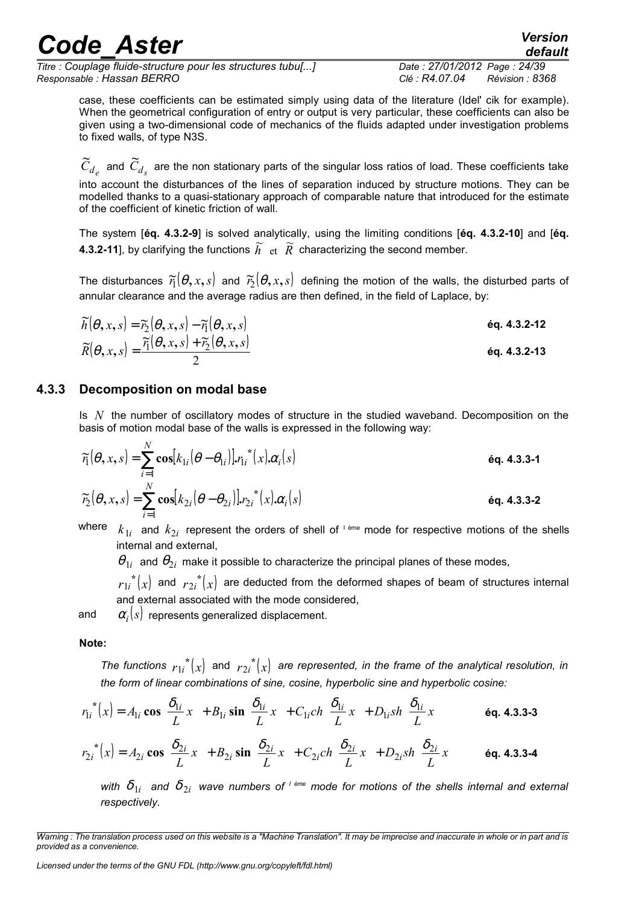*Titre : Couplage fluide-structure pour les structures tubu[...] Date : 27/01/2012 Page : 24/39 Responsable : Hassan BERRO Clé : R4.07.04 Révision : 8368*

*default*

case, these coefficients can be estimated simply using data of the literature (Idel' cik for example). When the geometrical configuration of entry or output is very particular, these coefficients can also be given using a two-dimensional code of mechanics of the fluids adapted under investigation problems to fixed walls, of type N3S.

 $\widetilde{C}_{d_e}$  and  $\widetilde{C}_{d_s}$  are the non stationary parts of the singular loss ratios of load. These coefficients take into account the disturbances of the lines of separation induced by structure motions. They can be modelled thanks to a quasi-stationary approach of comparable nature that introduced for the estimate of the coefficient of kinetic friction of wall.

The system [**éq. 4.3.2-9**] is solved analytically, using the limiting conditions [**éq. 4.3.2-10**] and [**éq. 4.3.2-11**], by clarifying the functions  $\tilde{h}$  et  $\tilde{R}$  characterizing the second member.

The disturbances  $\widetilde{r_1}(\theta,x,s)$  and  $\widetilde{r_2}(\theta,x,s)$  defining the motion of the walls, the disturbed parts of annular clearance and the average radius are then defined, in the field of Laplace, by:

$$
\widetilde{h}(\theta, x, s) = \widetilde{r}_{2}(\theta, x, s) - \widetilde{r}_{1}(\theta, x, s)
$$
\n
$$
\widetilde{R}(\theta, x, s) = \frac{\widetilde{r}_{1}(\theta, x, s) + \widetilde{r}_{2}(\theta, x, s)}{2}
$$
\nEq. 4.3.2-12

\nEq. 4.3.2-13

#### **4.3.3 Decomposition on modal base**

Is *N* the number of oscillatory modes of structure in the studied waveband. Decomposition on the basis of motion modal base of the walls is expressed in the following way:

$$
\widetilde{r}_1(\theta, x, s) = \sum_{i=1}^N \cos[k_{1i}(\theta - \theta_{1i})], r_{1i}^*(x), \alpha_i(s)
$$
\n
$$
\widetilde{r}_2(\theta, x, s) = \sum_{i=1}^N \cos[k_{2i}(\theta - \theta_{2i})], r_{2i}^*(x), \alpha_i(s)
$$
\n
$$
\text{éq. 4.3.3-2}
$$

where  $k_{1i}$  and  $k_{2i}$  represent the orders of shell of <sup>leme</sup> mode for respective motions of the shells internal and external,

 $\theta_{1i}$  and  $\theta_{2i}$  make it possible to characterize the principal planes of these modes,

 $r_{1i}^{*}(x)$  and  $r_{2i}^{*}(x)$  are deducted from the deformed shapes of beam of structures internal and external associated with the mode considered,

and  $\quad \alpha_i(s)$  represents generalized displacement.

#### **Note:**

*The functions*  $r_{1i}^*(x)$  and  $r_{2i}^*(x)$  are represented, in the frame of the analytical resolution, in *the form of linear combinations of sine, cosine, hyperbolic sine and hyperbolic cosine:*

$$
r_{1i}^*(x) = A_{1i} \cos\left(\frac{\delta_{1i}}{L}x\right) + B_{1i} \sin\left(\frac{\delta_{1i}}{L}x\right) + C_{1i} ch\left(\frac{\delta_{1i}}{L}x\right) + D_{1i} sh\left(\frac{\delta_{1i}}{L}x\right)
$$
\n
$$
r_{2i}^*(x) = A_{2i} \cos\left(\frac{\delta_{2i}}{L}x\right) + B_{2i} \sin\left(\frac{\delta_{2i}}{L}x\right) + C_{2i} ch\left(\frac{\delta_{2i}}{L}x\right) + D_{2i} sh\left(\frac{\delta_{2i}}{L}x\right)
$$
\n
$$
\text{ éq. 4.3.3-4}
$$

with  $\delta_{1i}$  and  $\delta_{2i}$  wave numbers of <sup>rème</sup> mode for motions of the shells internal and external *respectively.* 

*Warning : The translation process used on this website is a "Machine Translation". It may be imprecise and inaccurate in whole or in part and is provided as a convenience.*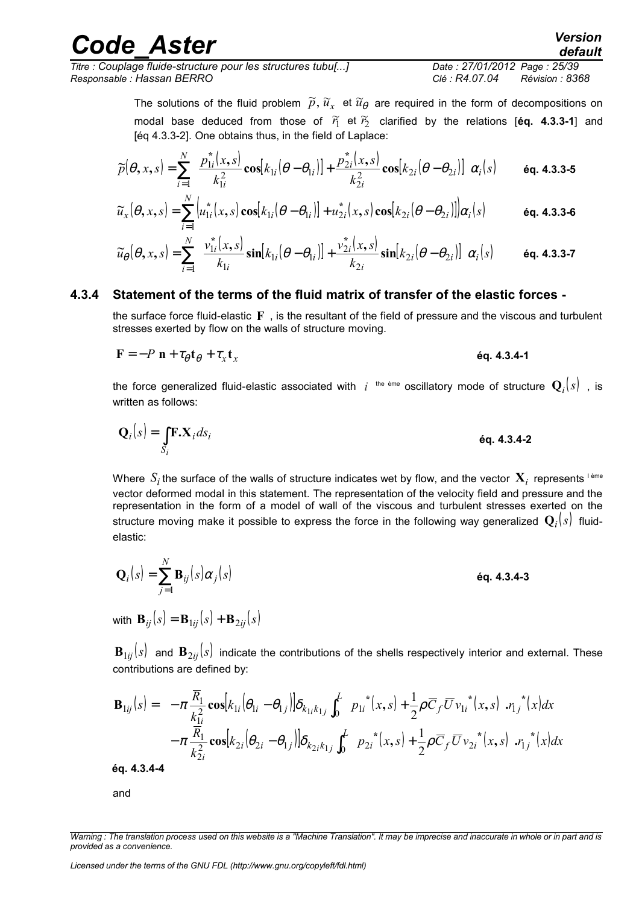$\widetilde{u}_x(\theta, x, s) = \sum_{i} |u_{1i}^*(x, s) \cos[k_{1i}(\theta - \theta_{1i})] + u_{2i}^*(x, s) \cos[k_{2i}(\theta - \theta_{2i})]] \alpha_i(s)$ *N*  $\widetilde{u}_x(\theta, x, s) = \sum_{i=1}^{N} \left[ u_{1i}^*(x, s) \cos[k_{1i}(\theta - \theta_{1i})] + u_{2i}^*(x, s) \cos[k_{2i}(\theta - \theta_{2i})] \right] \alpha_i$ 

*i*

*N*

I I ∖

ſ

$$
\widetilde{u}_{\theta}(\theta, x, s) = \sum_{i=1}^{N} \left( \frac{v_{1i}^{*}(x, s)}{k_{1i}} \sin[k_{1i}(\theta - \theta_{1i})] + \frac{v_{2i}^{*}(x, s)}{k_{2i}} \sin[k_{2i}(\theta - \theta_{2i})] \right) \alpha_{i}(s) \quad \text{Eq. 4.3.3-7}
$$

*k*

*i*

2

The solutions of the fluid problem  $\widetilde{p},\widetilde{u}_{x}$  et  $\widetilde{u}_{\theta}$  are required in the form of decompositions on modal base deduced from those of  $\widetilde{r}_1$  et  $\widetilde{r}_2$  clarified by the relations [éq. 4.3.3-1] and

 $i$  ( $\sigma$  –  $\sigma$ <sub>2*i*</sub>

I  $\overline{\phantom{a}}$ 

 $\lambda$ 

### **4.3.4 Statement of the terms of the fluid matrix of transfer of the elastic forces -**

 $(\theta, x, s) = \sum_{i=1}^{s} \left[ \frac{p_{1i}(x, s)}{2} \cos[k_{1i}(\theta - \theta_{1i})] + \frac{p_{2i}(x, s)}{2} \cos[k_{2i}(\theta - \theta_{2i})] \right] \alpha_i(s)$ 

 $\left[\theta - \theta_{1i}\right] + \frac{P_{2i}}{P_{1i}}$ 

 $\widetilde{p}(\theta, x, s) = \sum_{i=1}^{N} \left[ \frac{p_{1i}^{*}(x, s)}{n^{2}} \cos[k_{1i}(\theta - \theta_{1i})] + \frac{p_{2i}^{*}(x, s)}{n^{2}} \cos[k_{2i}(\theta - \theta_{2i})] \right] \alpha_{i}$ 

 $\frac{\lambda}{2} \cos[k_{1i}(\theta - \theta_{1i})] + \frac{p_2}{2}$ 

 $\mathcal{E}(\theta, x, s) = \sum_{l} \left[ \frac{p_{1i}(x, s)}{l^2} \cos[k_{1i}(\theta - \theta_{1i})] + \frac{p_{2i}(x, s)}{l^2} \cos[k_{2i}(\theta - \theta_{2i})] \right] \alpha_{i,j}$ 

 $= \sum_{i=1}^{\infty} \frac{P_{1i}(x, s)}{2} \cos[k_{1i}(\theta - \theta_{1i})] + \frac{P_{2i}(x, s)}{2} \cos[k_{2i}(\theta - \theta_{1i})]$  $\frac{1}{k_{1i}^2}$   $\frac{1}{k_{2i}^2}$   $\cos(k_{1i}(\sigma - \sigma_{1i}))$   $+$   $\frac{1}{k_{2i}^2}$   $\cos(k_{2i}(\sigma - \sigma_{2i}))$ 

 $k_{1i}(\theta - \theta_{1i}) + \frac{p_{2i}^*(x,s)}{2}$ 

 $= \frac{1}{k_{1i}^2} \frac{\cos[\kappa_{1i}(b - b_{1i})] + \frac{1}{k_{2i}^2} \cos[\kappa_{2i}(b - b_{2i})]}{k_{2i}^2}$ 

the surface force fluid-elastic **F** , is the resultant of the field of pressure and the viscous and turbulent stresses exerted by flow on the walls of structure moving.

$$
\mathbf{F} = -P \mathbf{n} + \tau_{\theta} \mathbf{t}_{\theta} + \tau_{x} \mathbf{t}_{x}
$$

the force generalized fluid-elastic associated with  $i$  <sup>the ème</sup> oscillatory mode of structure  $\mathbf{Q}_i(s)$  , is written as follows:

$$
\mathbf{Q}_i(s) = \int_{S_i} \mathbf{F} \cdot \mathbf{X}_i ds_i
$$

Where  $S_i$  the surface of the walls of structure indicates wet by flow, and the vector  $\mathbf{X}_i$  represents <sup>lème</sup> vector deformed modal in this statement. The representation of the velocity field and pressure and the representation in the form of a model of wall of the viscous and turbulent stresses exerted on the structure moving make it possible to express the force in the following way generalized  $\mathbf{Q}_i(s)$  fluidelastic:

$$
\mathbf{Q}_i(s) = \sum_{j=1}^N \mathbf{B}_{ij}(s)\alpha_j(s)
$$
éq. 4.3.4-3

with  $\mathbf{B}_{ii}(s) = \mathbf{B}_{1ii}(s) + \mathbf{B}_{2ii}(s)$ 

 **and**  $**B**<sub>2*ii*</sub>(*s*)$  **indicate the contributions of the shells respectively interior and external. These** contributions are defined by:

$$
\mathbf{B}_{1ij}(s) = -\pi \frac{\overline{R}_{1}}{k_{1i}^{2}} \cos[k_{1i}(\theta_{1i} - \theta_{1j})] \delta_{k_{1i}k_{1j}} \int_{0}^{L} \left( p_{1i}^{*}(x,s) + \frac{1}{2} \rho \overline{C}_{f} \overline{U} v_{1i}^{*}(x,s) \right) r_{1j}^{*}(x) dx
$$
  

$$
- \pi \frac{\overline{R}_{1}}{k_{2i}^{2}} \cos[k_{2i}(\theta_{2i} - \theta_{1j})] \delta_{k_{2i}k_{1j}} \int_{0}^{L} \left( p_{2i}^{*}(x,s) + \frac{1}{2} \rho \overline{C}_{f} \overline{U} v_{2i}^{*}(x,s) \right) r_{1j}^{*}(x) dx
$$
  
éq. 4.3.4-4

and

*Licensed under the terms of the GNU FDL (http://www.gnu.org/copyleft/fdl.html)*

*Titre : Couplage fluide-structure pour les structures tubu[...] Date : 27/01/2012 Page : 25/39*

*k*

*i*

1

[éq 4.3.3-2]. One obtains thus, in the field of Laplace:

 $\widetilde{p}(\theta, x, s) = \sum_{i=1}^{N} \left[ \frac{p_{1i}^{*}(x, s)}{2} \cos[k_{1i}(\theta - \theta_{1i})] + \frac{p_{2i}^{*}(x, s)}{2} \cos[k_{1i}(\theta - \theta_{1i})] \right]$ 

*Responsable : Hassan BERRO Clé : R4.07.04 Révision : 8368*

*default*

**éq. 4.3.3-5**

**éq. 4.3.3-6**

*Warning : The translation process used on this website is a "Machine Translation". It may be imprecise and inaccurate in whole or in part and is provided as a convenience.*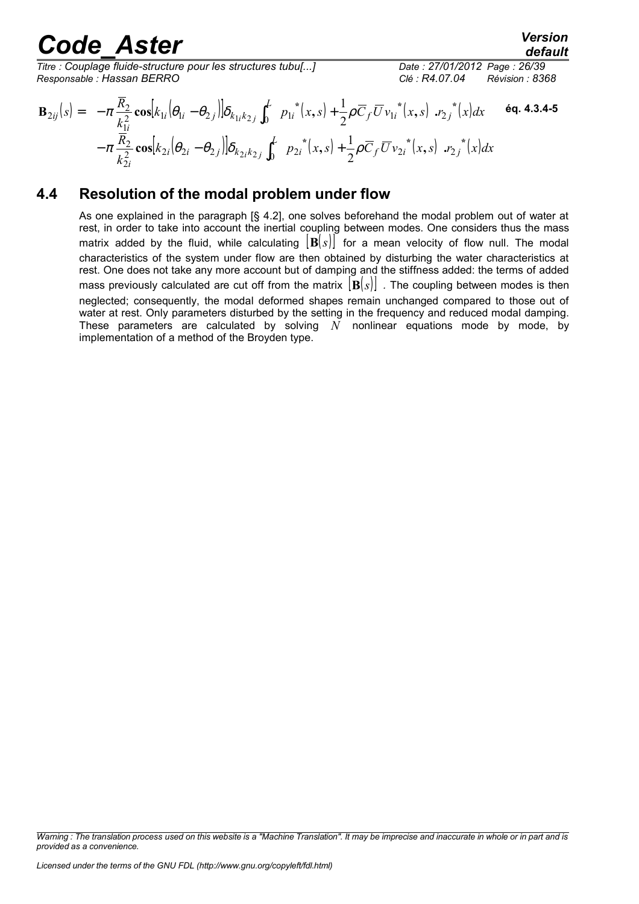*Titre : Couplage fluide-structure pour les structures tubu[...] Date : 27/01/2012 Page : 26/39 Responsable : Hassan BERRO Clé : R4.07.04 Révision : 8368*

$$
\mathbf{B}_{2ij}(s) = -\pi \frac{\overline{R}_{2}}{k_{1i}^{2}} \cos[k_{1i}(\theta_{1i} - \theta_{2j})] \delta_{k_{1i}k_{2j}} \int_{0}^{L} \left( p_{1i}^{*}(x, s) + \frac{1}{2} \rho \overline{C}_{f} \overline{U} v_{1i}^{*}(x, s) \right) r_{2j}^{*}(x) dx
$$
 6q. 4.3.4-5  
-\pi \frac{\overline{R}\_{2}}{k\_{2i}^{2}} \cos[k\_{2i}(\theta\_{2i} - \theta\_{2j})] \delta\_{k\_{2i}k\_{2j}} \int\_{0}^{L} \left( p\_{2i}^{\*}(x, s) + \frac{1}{2} \rho \overline{C}\_{f} \overline{U} v\_{2i}^{\*}(x, s) \right) r\_{2j}^{\*}(x) dx

### **4.4 Resolution of the modal problem under flow**

As one explained in the paragraph [§ 4.2], one solves beforehand the modal problem out of water at rest, in order to take into account the inertial coupling between modes. One considers thus the mass matrix added by the fluid, while calculating  $|\mathbf{B}(s)|$  for a mean velocity of flow null. The modal characteristics of the system under flow are then obtained by disturbing the water characteristics at rest. One does not take any more account but of damping and the stiffness added: the terms of added mass previously calculated are cut off from the matrix  $|\mathbf{B}(s)|$ . The coupling between modes is then neglected; consequently, the modal deformed shapes remain unchanged compared to those out of water at rest. Only parameters disturbed by the setting in the frequency and reduced modal damping. These parameters are calculated by solving  $N$  nonlinear equations mode by mode, by implementation of a method of the Broyden type.

*Warning : The translation process used on this website is a "Machine Translation". It may be imprecise and inaccurate in whole or in part and is provided as a convenience.*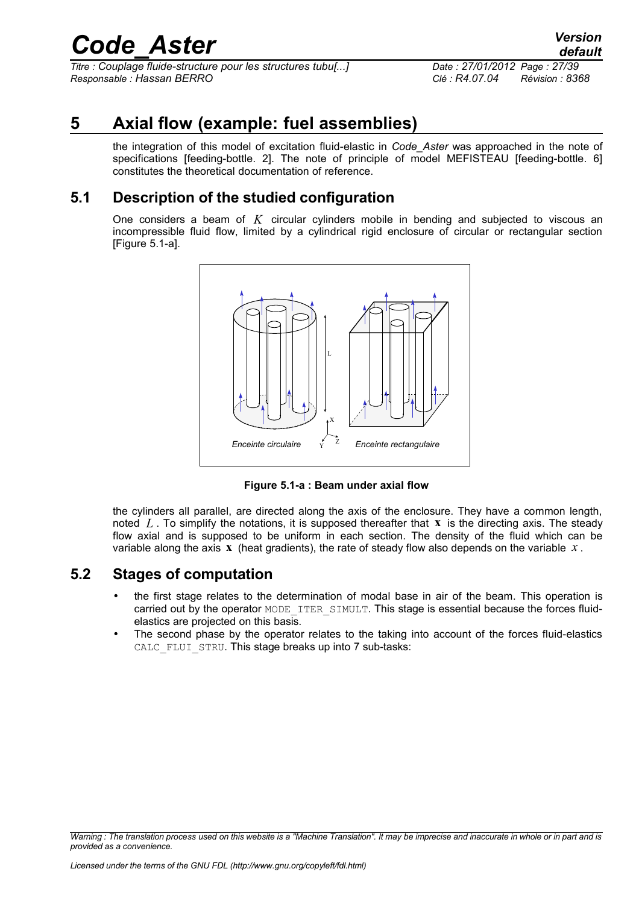*Titre : Couplage fluide-structure pour les structures tubu[...] Date : 27/01/2012 Page : 27/39 Responsable : Hassan BERRO Clé : R4.07.04 Révision : 8368*

*default*

# **5 Axial flow (example: fuel assemblies)**

the integration of this model of excitation fluid-elastic in *Code\_Aster* was approached in the note of specifications [feeding-bottle. 2]. The note of principle of model MEFISTEAU [feeding-bottle. 6] constitutes the theoretical documentation of reference.

### **5.1 Description of the studied configuration**

One considers a beam of *K* circular cylinders mobile in bending and subjected to viscous an incompressible fluid flow, limited by a cylindrical rigid enclosure of circular or rectangular section [Figure 5.1-a].



**Figure 5.1-a : Beam under axial flow**

the cylinders all parallel, are directed along the axis of the enclosure. They have a common length, noted *L* . To simplify the notations, it is supposed thereafter that **x** is the directing axis. The steady flow axial and is supposed to be uniform in each section. The density of the fluid which can be variable along the axis **x** (heat gradients), the rate of steady flow also depends on the variable *x* .

### **5.2 Stages of computation**

- the first stage relates to the determination of modal base in air of the beam. This operation is carried out by the operator MODE ITER SIMULT. This stage is essential because the forces fluidelastics are projected on this basis.
- The second phase by the operator relates to the taking into account of the forces fluid-elastics CALC FLUI STRU. This stage breaks up into 7 sub-tasks:

*Warning : The translation process used on this website is a "Machine Translation". It may be imprecise and inaccurate in whole or in part and is provided as a convenience.*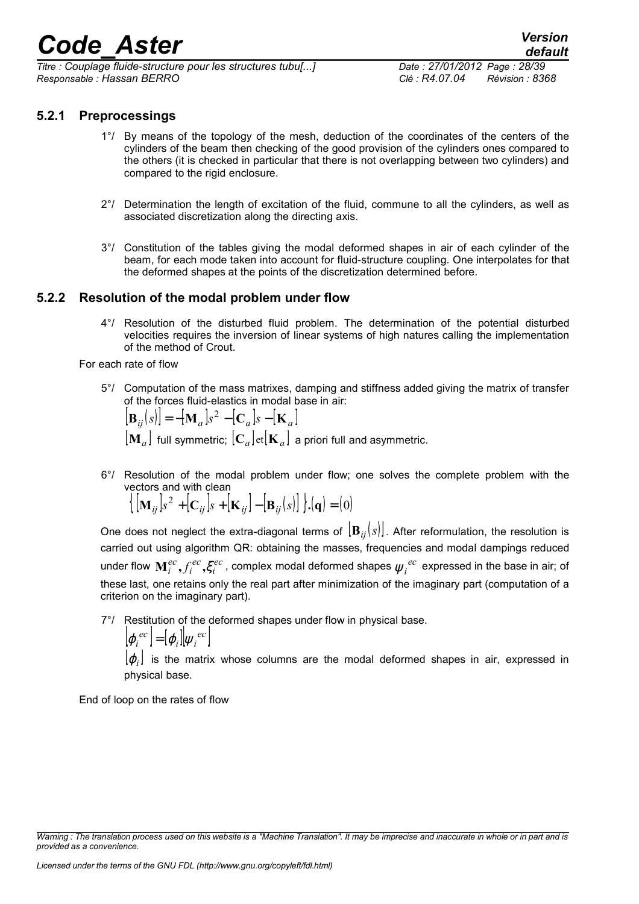*Titre : Couplage fluide-structure pour les structures tubu[...] Date : 27/01/2012 Page : 28/39 Responsable : Hassan BERRO Clé : R4.07.04 Révision : 8368*

#### **5.2.1 Preprocessings**

- 1°/ By means of the topology of the mesh, deduction of the coordinates of the centers of the cylinders of the beam then checking of the good provision of the cylinders ones compared to the others (it is checked in particular that there is not overlapping between two cylinders) and compared to the rigid enclosure.
- 2°/ Determination the length of excitation of the fluid, commune to all the cylinders, as well as associated discretization along the directing axis.
- 3°/ Constitution of the tables giving the modal deformed shapes in air of each cylinder of the beam, for each mode taken into account for fluid-structure coupling. One interpolates for that the deformed shapes at the points of the discretization determined before.

#### **5.2.2 Resolution of the modal problem under flow**

4°/ Resolution of the disturbed fluid problem. The determination of the potential disturbed velocities requires the inversion of linear systems of high natures calling the implementation of the method of Crout.

For each rate of flow

5°/ Computation of the mass matrixes, damping and stiffness added giving the matrix of transfer of the forces fluid-elastics in modal base in air:

 $[\mathbf{B}_{ij}(s)] = -[\mathbf{M}_a]s^2 - [\mathbf{C}_a]s - [\mathbf{K}_a]$ 

 $\left[ \mathbf{M}_a \right]$  full symmetric;  $\left[ \mathbf{C}_a \right]$ et $\left[ \mathbf{K}_a \right]$  a priori full and asymmetric.

6°/ Resolution of the modal problem under flow; one solves the complete problem with the vectors and with clean

$$
\left\{ \left[ \mathbf{M}_{ij} \right] s^2 + \left[ \mathbf{C}_{ij} \right] s + \left[ \mathbf{K}_{ij} \right] - \left[ \mathbf{B}_{ij} (s) \right] \right\} \cdot \left( \mathbf{q} \right) = (0)
$$

One does not neglect the extra-diagonal terms of  $[\mathbf{B}_{ii}(s)]$ . After reformulation, the resolution is carried out using algorithm QR: obtaining the masses, frequencies and modal dampings reduced under flow  $\mathbf{M}_i^{ec}, f_i^{ec}, \xi_i^{ec}$ *ec i*  $\mathbf{M}_i^{ec}, f_i^{ec}, \xi_i^{ec}$  , complex modal deformed shapes  $\psi_i^{~ec}$  expressed in the base in air; of these last, one retains only the real part after minimization of the imaginary part (computation of a criterion on the imaginary part).

7°/ Restitution of the deformed shapes under flow in physical base.

$$
\left[\varphi_i^{ec}\right] = \left[\varphi_i\right]\left|\psi_i^{ec}\right|
$$

 $[ \varphi_i ]$  is the matrix whose columns are the modal deformed shapes in air, expressed in physical base.

End of loop on the rates of flow

*Warning : The translation process used on this website is a "Machine Translation". It may be imprecise and inaccurate in whole or in part and is provided as a convenience.*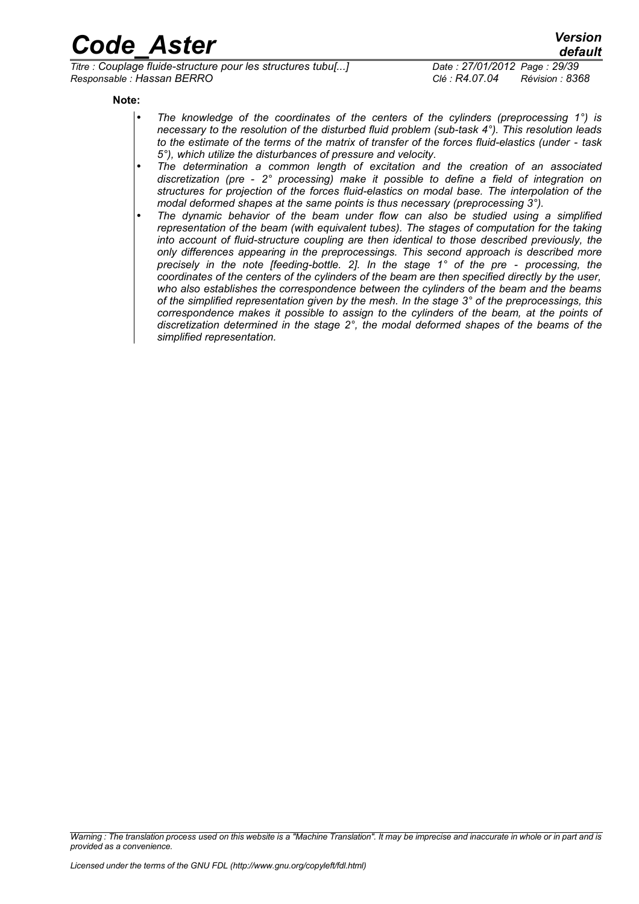*Titre : Couplage fluide-structure pour les structures tubu[...] Date : 27/01/2012 Page : 29/39 Responsable : Hassan BERRO Clé : R4.07.04 Révision : 8368*

*default*

**Note:**

- *The knowledge of the coordinates of the centers of the cylinders (preprocessing 1°) is necessary to the resolution of the disturbed fluid problem (sub-task 4°). This resolution leads to the estimate of the terms of the matrix of transfer of the forces fluid-elastics (under - task 5°), which utilize the disturbances of pressure and velocity.*
- *The determination a common length of excitation and the creation of an associated discretization (pre - 2° processing) make it possible to define a field of integration on structures for projection of the forces fluid-elastics on modal base. The interpolation of the modal deformed shapes at the same points is thus necessary (preprocessing 3°).*
- *The dynamic behavior of the beam under flow can also be studied using a simplified representation of the beam (with equivalent tubes). The stages of computation for the taking into account of fluid-structure coupling are then identical to those described previously, the only differences appearing in the preprocessings. This second approach is described more precisely in the note [feeding-bottle. 2]. In the stage 1° of the pre - processing, the coordinates of the centers of the cylinders of the beam are then specified directly by the user, who also establishes the correspondence between the cylinders of the beam and the beams of the simplified representation given by the mesh. In the stage 3° of the preprocessings, this correspondence makes it possible to assign to the cylinders of the beam, at the points of discretization determined in the stage 2°, the modal deformed shapes of the beams of the simplified representation.*

*Warning : The translation process used on this website is a "Machine Translation". It may be imprecise and inaccurate in whole or in part and is provided as a convenience.*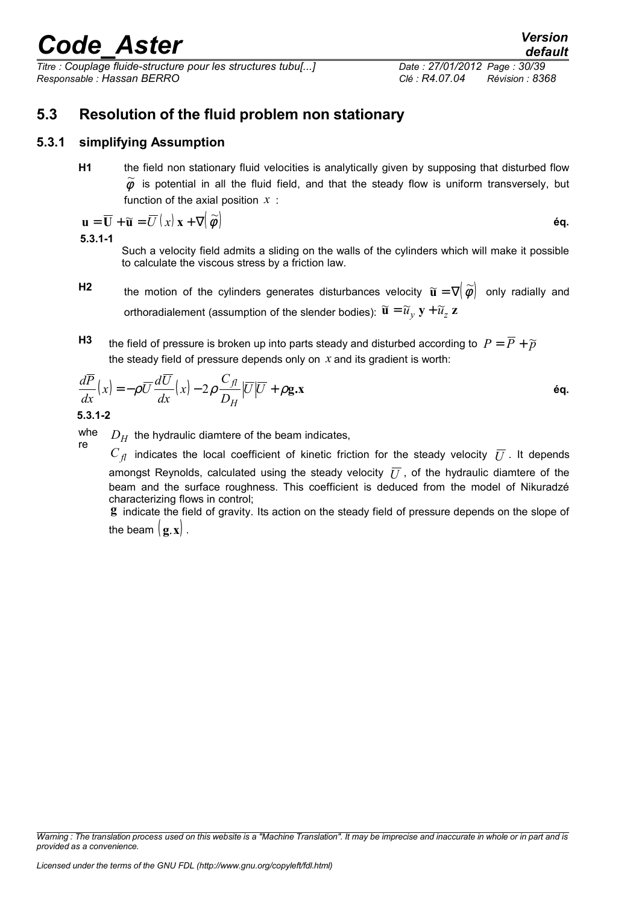*Titre : Couplage fluide-structure pour les structures tubu[...] Date : 27/01/2012 Page : 30/39 Responsable : Hassan BERRO Clé : R4.07.04 Révision : 8368*

### **5.3 Resolution of the fluid problem non stationary**

#### **5.3.1 simplifying Assumption**

**H1** the field non stationary fluid velocities is analytically given by supposing that disturbed flow  $\phi$  is potential in all the fluid field, and that the steady flow is uniform transversely, but function of the axial position *x* :

$$
\mathbf{u} = \overline{\mathbf{U}} + \widetilde{\mathbf{u}} = \overline{U}(x) \mathbf{x} + \nabla \big( \widetilde{\phi} \big)
$$
éq.

**5.3.1-1**

Such a velocity field admits a sliding on the walls of the cylinders which will make it possible to calculate the viscous stress by a friction law.

- **H2** the motion of the cylinders generates disturbances velocity  $\widetilde{\mathbf{u}} = \nabla (\widetilde{\phi})$  only radially and orthoradialement (assumption of the slender bodies):  $\widetilde{\mathbf{u}} = \widetilde{u}_v \mathbf{y} + \widetilde{u}_z \mathbf{z}$
- **H3** the field of pressure is broken up into parts steady and disturbed according to  $P = \overline{P} + \widetilde{p}$ the steady field of pressure depends only on *x* and its gradient is worth:

$$
\frac{d\overline{P}}{dx}(x) = -\rho \overline{U} \frac{d\overline{U}}{dx}(x) - 2\rho \frac{C_{fl}}{D_H} |\overline{U}|\overline{U} + \rho \mathbf{g} \cdot \mathbf{x}
$$
\n6q.

**5.3.1-2**

whe re  $D_H$  the hydraulic diamtere of the beam indicates,

 $C_{\eta}$  indicates the local coefficient of kinetic friction for the steady velocity  $\bar{U}$ . It depends amongst Reynolds, calculated using the steady velocity  $\overline{U}$ , of the hydraulic diamtere of the beam and the surface roughness. This coefficient is deduced from the model of Nikuradzé characterizing flows in control;

**g** indicate the field of gravity. Its action on the steady field of pressure depends on the slope of the beam  $(\mathbf{g} \cdot \mathbf{x})$ .

*Warning : The translation process used on this website is a "Machine Translation". It may be imprecise and inaccurate in whole or in part and is provided as a convenience.*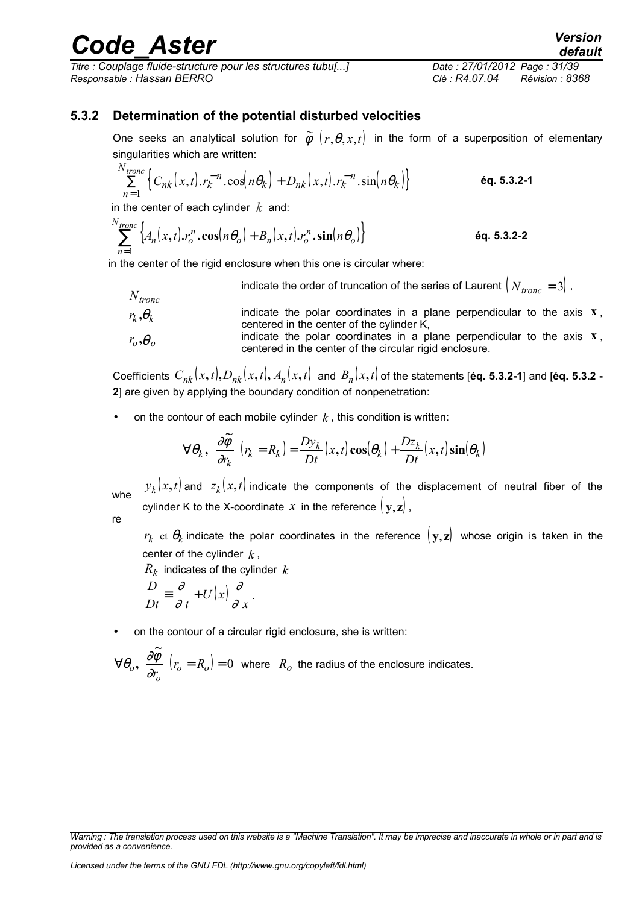*Titre : Couplage fluide-structure pour les structures tubu[...] Date : 27/01/2012 Page : 31/39 Responsable : Hassan BERRO Clé : R4.07.04 Révision : 8368*

### **5.3.2 Determination of the potential disturbed velocities**

One seeks an analytical solution for  $\widetilde{\phi}\ \left(r,\theta,x,t\right)$  in the form of a superposition of elementary singularities which are written:

$$
\sum_{n=1}^{N_{trone}} \left\{ C_{nk}(x,t) \cdot r_k^{-n} \cdot \cos\left(n\theta_k\right) + D_{nk}(x,t) \cdot r_k^{-n} \cdot \sin\left(n\theta_k\right) \right\}
$$
 6q. 5.3.2-1

in the center of each cylinder *k* and:

$$
\sum_{n=1}^{N_{trone}} \left\{ A_n(x,t), r_o^n \cdot \cos(n\theta_o) + B_n(x,t), r_o^n \cdot \sin(n\theta_o) \right\}
$$
 6q. 5.3.2-2

in the center of the rigid enclosure when this one is circular where:

*Ntronc* indicate the order of truncation of the series of Laurent  $\left(N_{trone} = 3\right)$ ,  $r_k$ ,  $\theta_k$ indicate the polar coordinates in a plane perpendicular to the axis  $\mathbf{x}$ , centered in the center of the cylinder K,  $r_o, \theta_o$ indicate the polar coordinates in a plane perpendicular to the axis  $\mathbf{x}$ , centered in the center of the circular rigid enclosure.

Coefficients  $\,C_{nk}(x,t),D_{nk}(x,t),$   $A_n(x,t)\,$  and  $\,B_n(x,t)$  of the statements [éq. 5.3.2-1] and [éq. 5.3.2 -**2**] are given by applying the boundary condition of nonpenetration:

• on the contour of each mobile cylinder  $k$ , this condition is written:

$$
\forall \theta_k, \left(\frac{\partial \widetilde{\phi}}{\partial r_k}\right) r_k = R_k) = \frac{D y_k}{D t}(x, t) \cos(\theta_k) + \frac{D z_k}{D t}(x, t) \sin(\theta_k)
$$

whe  $y_k(x,t)$  and  $z_k(x,t)$  indicate the components of the displacement of neutral fiber of the cylinder K to the X-coordinate x in the reference  $(\mathbf{v}, \mathbf{z})$ ,

re

 $r_k$  et  $\theta_k$ indicate the polar coordinates in the reference  $(\mathbf{y},\mathbf{z})$  whose origin is taken in the center of the cylinder  $k$ ,

 $R_k$  indicates of the cylinder  $k$ 

$$
\frac{D}{Dt} \equiv \frac{\partial}{\partial t} + \overline{U}(x) \frac{\partial}{\partial x}.
$$

• on the contour of a circular rigid enclosure, she is written:

$$
\forall \theta_o, \left( \frac{\partial \widetilde{\phi}}{\partial r_o} \right) r_o = R_o) = 0
$$
 where  $R_o$  the radius of the enclosure indicates.

*Warning : The translation process used on this website is a "Machine Translation". It may be imprecise and inaccurate in whole or in part and is provided as a convenience.*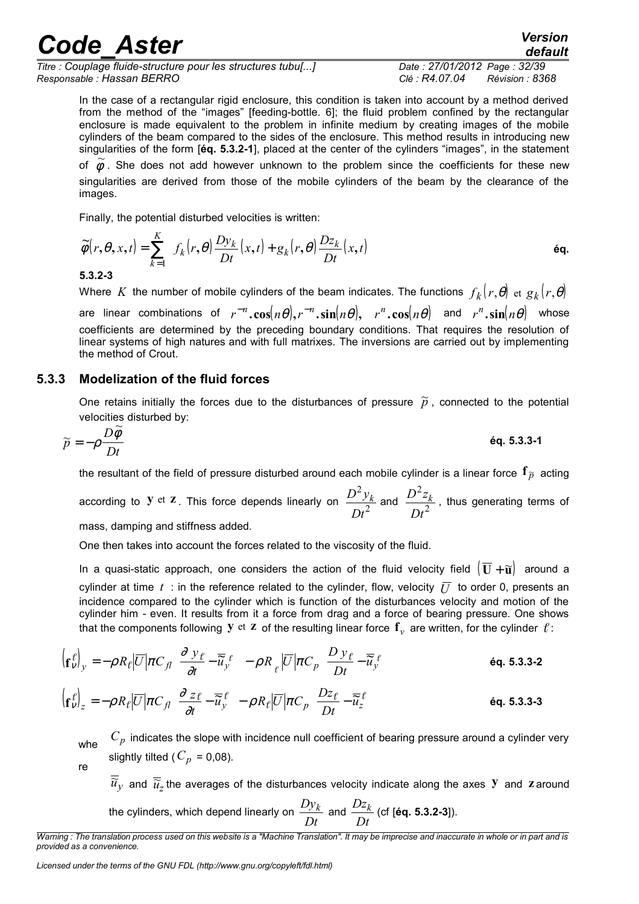*Titre : Couplage fluide-structure pour les structures tubu[...] Date : 27/01/2012 Page : 32/39 Responsable : Hassan BERRO Clé : R4.07.04 Révision : 8368*

In the case of a rectangular rigid enclosure, this condition is taken into account by a method derived from the method of the "images" [feeding-bottle. 6]; the fluid problem confined by the rectangular enclosure is made equivalent to the problem in infinite medium by creating images of the mobile cylinders of the beam compared to the sides of the enclosure. This method results in introducing new singularities of the form [**éq. 5.3.2-1**], placed at the center of the cylinders "images", in the statement of  $\widetilde{\phi}$ . She does not add however unknown to the problem since the coefficients for these new singularities are derived from those of the mobile cylinders of the beam by the clearance of the images.

Finally, the potential disturbed velocities is written:

$$
\widetilde{\phi}(r,\theta,x,t) = \sum_{k=1}^{K} \left\{ f_k(r,\theta) \frac{D y_k}{D t}(x,t) + g_k(r,\theta) \frac{D z_k}{D t}(x,t) \right\}
$$

#### **5.3.2-3**

Where  $K$  the number of mobile cylinders of the beam indicates. The functions  $f_k(r,\theta)$  et  $g_k(r,\theta)$ are linear combinations of  $r^{-n}.\cos(n\theta),r^{-n}.\sin(n\theta),$   $r^{n}.\cos(n\theta)$  and  $r^{n}.\sin(n\theta)$  whose coefficients are determined by the preceding boundary conditions. That requires the resolution of linear systems of high natures and with full matrixes. The inversions are carried out by implementing the method of Crout.

#### **5.3.3 Modelization of the fluid forces**

One retains initially the forces due to the disturbances of pressure  $\tilde{p}$ , connected to the potential velocities disturbed by:<br> $\Omega \widetilde{A}$ 

$$
\widetilde{p} = -\rho \frac{D\widetilde{\phi}}{Dt}
$$

the resultant of the field of pressure disturbed around each mobile cylinder is a linear force  $f_{\tilde{p}}$  acting

according to **y** et **z**. This force depends linearly on  $\frac{D}{Dt^2}$ 2 *Dt*  $\frac{D^2 y_k}{Dt^2}$  and  $\frac{D^2 z_k}{Dt^2}$ 2 *Dt*  $\frac{D^2 z_k}{2}$ , thus generating terms of

mass, damping and stiffness added.

One then takes into account the forces related to the viscosity of the fluid.

In a quasi-static approach, one considers the action of the fluid velocity field  $(\overline{U} + \tilde{u})$  around a cylinder at time  $t$ : in the reference related to the cylinder, flow, velocity  $\overline{U}$  to order 0, presents an incidence compared to the cylinder which is function of the disturbances velocity and motion of the cylinder him - even. It results from it a force from drag and a force of bearing pressure. One shows that the components following Y  $et$  Z of the resulting linear force  $\mathbf{f}_v$  are written, for the cylinder  $\ell$ :

$$
\left(\mathbf{f}_v^{\ell}\right)_y = -\rho R_{\ell} \left| \overline{U} \right| \pi C_{\ell} \left( \frac{\partial y_{\ell}}{\partial t} - \overline{\widetilde{u}}_y^{\ell} \right) - \rho R_{\ell} \left| \overline{U} \right| \pi C_{p} \left( \frac{D y_{\ell}}{Dt} - \overline{\widetilde{u}}_y^{\ell} \right)
$$
\n(2)

$$
\left(\mathbf{f}_V^{\ell}\right)_z = -\rho R_{\ell} \left|\overline{U}\right| \pi C_{\tilde{J}} \left(\frac{\partial z_{\ell}}{\partial t} - \overline{\widetilde{u}}_y^{\ell}\right) - \rho R_{\ell} \left|\overline{U}\right| \pi C_{p} \left(\frac{Dz_{\ell}}{Dt} - \overline{\widetilde{u}}_z^{\ell}\right)
$$
\n
$$
\text{\'{eq. 5.3.3-3}}
$$

whe  $C_p$  indicates the slope with incidence null coefficient of bearing pressure around a cylinder very slightly tilted ( $C_p$  = 0,08).

re

 $\overline{\widetilde{u}}_{y}$  and  $\overline{\widetilde{u}}_{z}$  the averages of the disturbances velocity indicate along the axes  ${\bf y}$  and  ${\bf z}$  around the cylinders, which depend linearly on *Dt*  $\frac{Dy_k}{Dt}$  and  $\frac{Dz_k}{Dt}$ *Dz<sup>k</sup>* (cf [**éq. 5.3.2-3**]).

*Warning : The translation process used on this website is a "Machine Translation". It may be imprecise and inaccurate in whole or in part and is provided as a convenience.*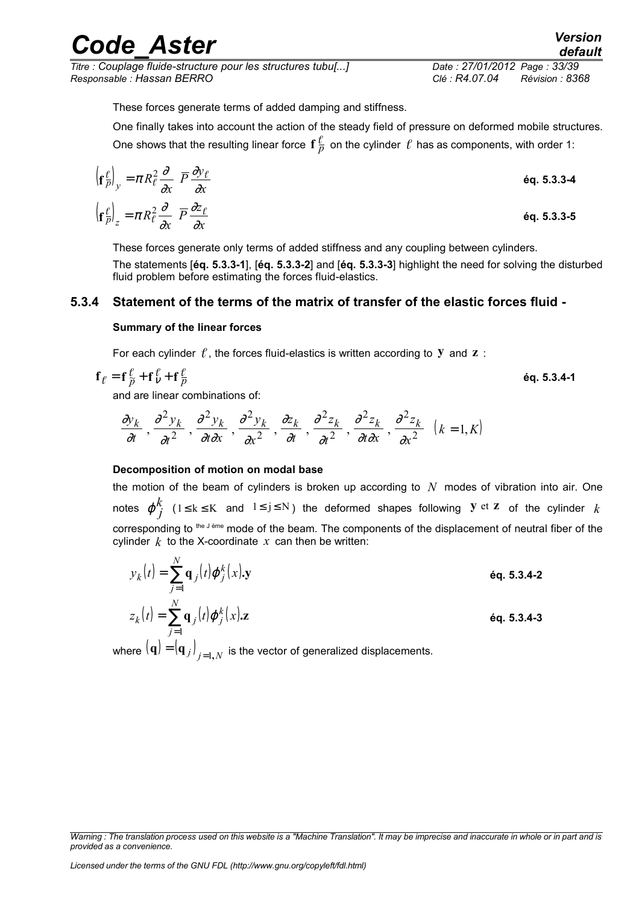*Titre : Couplage fluide-structure pour les structures tubu[...] Date : 27/01/2012 Page : 33/39 Responsable : Hassan BERRO Clé : R4.07.04 Révision : 8368*

These forces generate terms of added damping and stiffness.

One finally takes into account the action of the steady field of pressure on deformed mobile structures. One shows that the resulting linear force  $\mathbf{f}\frac{\ell}{p}$  on the cylinder  $\,\ell\,$  has as components, with order 1:

$$
\left(\mathbf{f}_{\overline{p}}^{\ell}\right)_{y} = \pi R_{\ell}^{2} \frac{\partial}{\partial x} \left(\overline{P} \frac{\partial y_{\ell}}{\partial x}\right)
$$
\n
$$
\left(\mathbf{f}_{\overline{p}}^{\ell}\right)_{z} = \pi R_{\ell}^{2} \frac{\partial}{\partial x} \left(\overline{P} \frac{\partial z_{\ell}}{\partial x}\right)
$$
\n
$$
\text{6q. 5.3.3-4}
$$
\n
$$
\text{6q. 5.3.3-5}
$$

These forces generate only terms of added stiffness and any coupling between cylinders.

The statements [**éq. 5.3.3-1**], [**éq. 5.3.3-2**] and [**éq. 5.3.3-3**] highlight the need for solving the disturbed fluid problem before estimating the forces fluid-elastics.

#### **5.3.4 Statement of the terms of the matrix of transfer of the elastic forces fluid -**

#### **Summary of the linear forces**

For each cylinder  $f$ , the forces fluid-elastics is written according to  $\bf{y}$  and  $\bf{z}$  :

$$
\mathbf{f}_{\ell} = \mathbf{f}_{\widetilde{p}}^{\ell} + \mathbf{f}_{\nu}^{\ell} + \mathbf{f}_{\overline{p}}^{\ell} \tag{6q. 5.3.4-1}
$$

and are linear combinations of:

$$
\left(\frac{\partial y_k}{\partial t}, \frac{\partial^2 y_k}{\partial t^2}, \frac{\partial^2 y_k}{\partial t \partial x}, \frac{\partial^2 y_k}{\partial x^2}, \frac{\partial z_k}{\partial t}, \frac{\partial^2 z_k}{\partial t^2}, \frac{\partial^2 z_k}{\partial t \partial x}, \frac{\partial^2 z_k}{\partial x^2}\right) (k = 1, K)
$$

#### **Decomposition of motion on modal base**

the motion of the beam of cylinders is broken up according to *N* modes of vibration into air. One notes  $\mathbf{\phi}_{i}^{k}$ *j* (1≤ k ≤ K and 1≤ j ≤ N) the deformed shapes following **y** et **z** of the cylinder *k* corresponding to the J ème mode of the beam. The components of the displacement of neutral fiber of the cylinder  $k$  to the X-coordinate  $x$  can then be written:

$$
y_k(t) = \sum_{j=1}^N \mathbf{q}_j(t) \boldsymbol{\varphi}_j^k(x) \mathbf{.} \mathbf{y}
$$
  
\n
$$
z_k(t) = \sum_{j=1}^N \mathbf{q}_j(t) \boldsymbol{\varphi}_j^k(x) \mathbf{.} \mathbf{z}
$$
  
\n
$$
\mathbf{e}_{\mathbf{q}} \mathbf{.} \mathbf{5} \mathbf{.} \mathbf{3} \mathbf{.} \mathbf{4} \mathbf{-2}
$$
  
\n
$$
\mathbf{e}_{\mathbf{q}} \mathbf{.} \mathbf{5} \mathbf{.} \mathbf{3} \mathbf{.} \mathbf{4} \mathbf{-3}
$$

where  $(\mathbf{q})$   $=$   $(\mathbf{q}_{\,j}\,)_{\,j=1,\,N}\,$  is the vector of generalized displacements.

*Warning : The translation process used on this website is a "Machine Translation". It may be imprecise and inaccurate in whole or in part and is provided as a convenience.*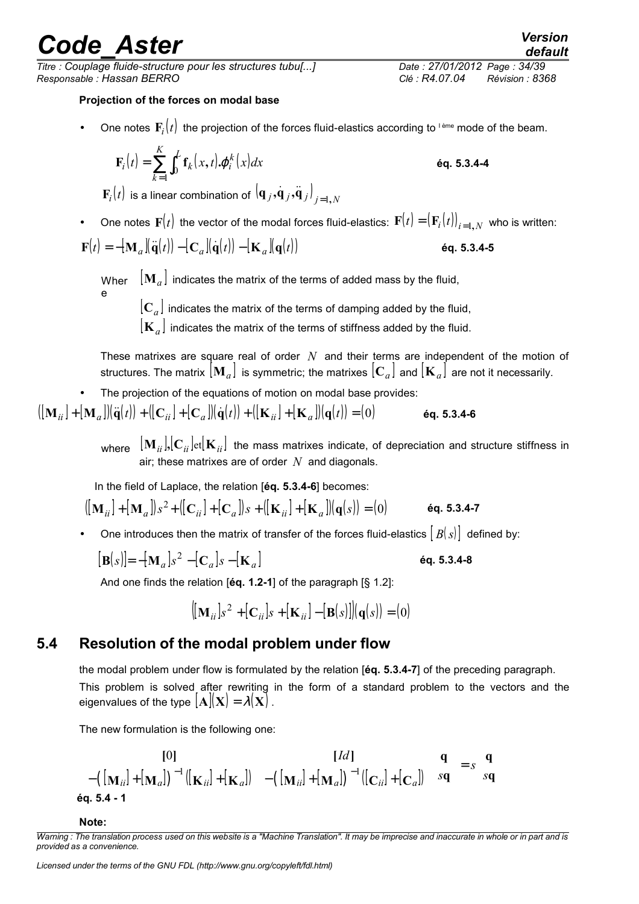*Titre : Couplage fluide-structure pour les structures tubu[...] Date : 27/01/2012 Page : 34/39 Responsable : Hassan BERRO Clé : R4.07.04 Révision : 8368*

#### **Projection of the forces on modal base**

• One notes  $\mathbf{F}_i(t)$  the projection of the forces fluid-elastics according to <sup>leme</sup> mode of the beam.

$$
\mathbf{F}_i(t) = \sum_{k=1}^K \int_0^L \mathbf{f}_k(x, t) \boldsymbol{\phi}_i^k(x) dx
$$

 $\mathbf{F}_{i}(t)$  is a linear combination of  $(\mathbf{q}_{\,j}\,,\!\dot{\mathbf{q}}_{\,j}\,,\!\ddot{\mathbf{q}}_{\,j})\big\rvert_{j=1,N}$ 

• One notes  $\mathbf{F}(t)$  the vector of the modal forces fluid-elastics:  $\mathbf{F}(t) = (\mathbf{F}_i(t))_{i=1,N}$  who is written:

$$
\mathbf{F}(t) = -[\mathbf{M}_a][\ddot{\mathbf{q}}(t)) - [\mathbf{C}_a][\dot{\mathbf{q}}(t)) - [\mathbf{K}_a][\mathbf{q}(t)]
$$
éq. 5.3.4-5

Wher  $\left\| {\bf M}_a \right\|$  indicates the matrix of the terms of added mass by the fluid, e

 $\left[ \mathbf{C}_a \right]$  indicates the matrix of the terms of damping added by the fluid,

 $|{\bf K}_a|$  indicates the matrix of the terms of stiffness added by the fluid.

These matrixes are square real of order *N* and their terms are independent of the motion of structures. The matrix  $[\mathbf{M}_a]$  is symmetric; the matrixes  $[\mathbf{C}_a]$  and  $[\mathbf{K}_a]$  are not it necessarily.

• The projection of the equations of motion on modal base provides:

$$
([\mathbf{M}_{ii}]+[\mathbf{M}_{a}]](\ddot{\mathbf{q}}(t)) + ([\mathbf{C}_{ii}]+[\mathbf{C}_{a}]](\dot{\mathbf{q}}(t)) + ([\mathbf{K}_{ii}]+[\mathbf{K}_{a}]](\mathbf{q}(t)) = (0)
$$
 6q. 5.3.4-6

where  $\left[\mathbf{M}_{ii}\right],\left[\mathbf{C}_{ii}\right]$  et  $\left[\mathbf{K}_{ii}\right]$  the mass matrixes indicate, of depreciation and structure stiffness in air; these matrixes are of order *N* and diagonals.

In the field of Laplace, the relation [**éq. 5.3.4-6**] becomes:

$$
\left( [\mathbf{M}_{ii}] + [\mathbf{M}_a] \right) s^2 + \left( [\mathbf{C}_{ii}] + [\mathbf{C}_a] \right) s + \left( [\mathbf{K}_{ii}] + [\mathbf{K}_a] \right) (\mathbf{q}(s)) = (0) \qquad \text{6q. 5.3.4-7}
$$

One introduces then the matrix of transfer of the forces fluid-elastics  $[B(s)]$  defined by:

$$
[\mathbf{B}(s)] = -[\mathbf{M}_a]s^2 - [\mathbf{C}_a]s - [\mathbf{K}_a]
$$

And one finds the relation [**éq. 1.2-1**] of the paragraph [§ 1.2]:

$$
\left\lbrack [\mathbf{M}_{ii}]s^2 + [\mathbf{C}_{ii}]s + [\mathbf{K}_{ii}] - [\mathbf{B}(s)] \right\rbrack (\mathbf{q}(s)) = (0)
$$

### **5.4 Resolution of the modal problem under flow**

the modal problem under flow is formulated by the relation [**éq. 5.3.4-7**] of the preceding paragraph. This problem is solved after rewriting in the form of a standard problem to the vectors and the eigenvalues of the type  $[\mathbf{A}](\mathbf{X}) = \lambda(\mathbf{X})$ .

The new formulation is the following one:

$$
\begin{bmatrix}\n[0] & [Id] \\
-[[\mathbf{M}_{ii}]+[\mathbf{M}_{a}])^{-1}([\mathbf{K}_{ii}]+[\mathbf{K}_{a}]] & -([\mathbf{M}_{ii}]+[\mathbf{M}_{a}])^{-1}([\mathbf{C}_{ii}]+[\mathbf{C}_{a}]]\n\end{bmatrix}\n\begin{bmatrix}\n\mathbf{q} \\
s\mathbf{q}\n\end{bmatrix} = s\n\begin{bmatrix}\n\mathbf{q} \\
s\mathbf{q}\n\end{bmatrix}
$$
\neq. 5.4 - 1

#### **Note:**

*Warning : The translation process used on this website is a "Machine Translation". It may be imprecise and inaccurate in whole or in part and is provided as a convenience.*

**F f , .**ϕ **éq. 5.3.4-4**

**éq. 5.3.4-8**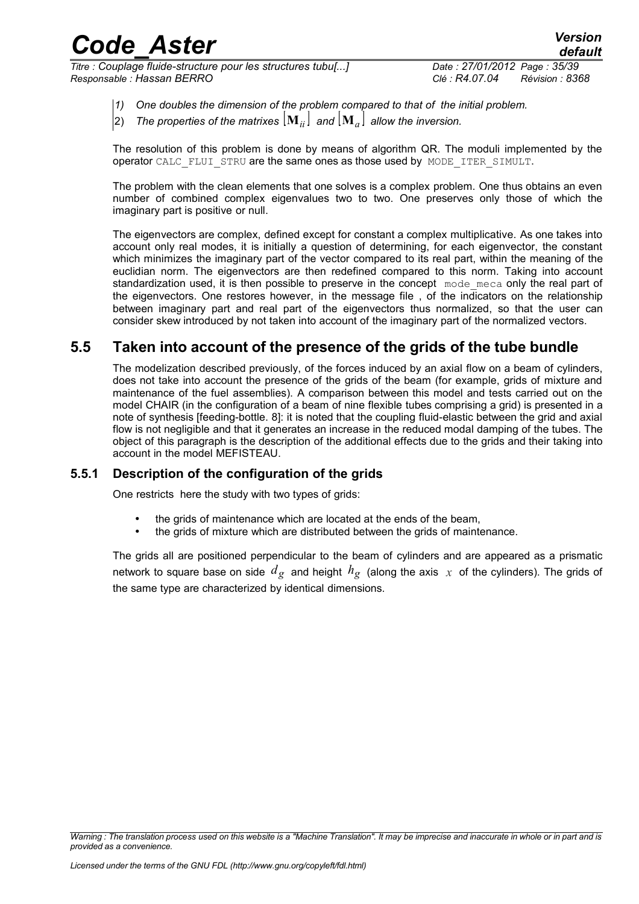*Titre : Couplage fluide-structure pour les structures tubu[...] Date : 27/01/2012 Page : 35/39 Responsable : Hassan BERRO Clé : R4.07.04 Révision : 8368*

*default*

- *1) One doubles the dimension of the problem compared to that of the initial problem.*
- The properties of the matrixes  $[\mathbf{M}_{ii}]$  and  $[\mathbf{M}_{a}]$  allow the inversion.

The resolution of this problem is done by means of algorithm QR. The moduli implemented by the operator CALC\_FLUI\_STRU are the same ones as those used by MODE\_ITER\_SIMULT.

The problem with the clean elements that one solves is a complex problem. One thus obtains an even number of combined complex eigenvalues two to two. One preserves only those of which the imaginary part is positive or null.

The eigenvectors are complex, defined except for constant a complex multiplicative. As one takes into account only real modes, it is initially a question of determining, for each eigenvector, the constant which minimizes the imaginary part of the vector compared to its real part, within the meaning of the euclidian norm. The eigenvectors are then redefined compared to this norm. Taking into account standardization used, it is then possible to preserve in the concept mode meca only the real part of the eigenvectors. One restores however, in the message file , of the indicators on the relationship between imaginary part and real part of the eigenvectors thus normalized, so that the user can consider skew introduced by not taken into account of the imaginary part of the normalized vectors.

## **5.5 Taken into account of the presence of the grids of the tube bundle**

The modelization described previously, of the forces induced by an axial flow on a beam of cylinders, does not take into account the presence of the grids of the beam (for example, grids of mixture and maintenance of the fuel assemblies). A comparison between this model and tests carried out on the model CHAIR (in the configuration of a beam of nine flexible tubes comprising a grid) is presented in a note of synthesis [feeding-bottle. 8]: it is noted that the coupling fluid-elastic between the grid and axial flow is not negligible and that it generates an increase in the reduced modal damping of the tubes. The object of this paragraph is the description of the additional effects due to the grids and their taking into account in the model MEFISTEAU.

### **5.5.1 Description of the configuration of the grids**

One restricts here the study with two types of grids:

- the grids of maintenance which are located at the ends of the beam.
- the grids of mixture which are distributed between the grids of maintenance.

The grids all are positioned perpendicular to the beam of cylinders and are appeared as a prismatic network to square base on side  $d_g$  and height  $h_g$  (along the axis  $x$  of the cylinders). The grids of the same type are characterized by identical dimensions.

*Warning : The translation process used on this website is a "Machine Translation". It may be imprecise and inaccurate in whole or in part and is provided as a convenience.*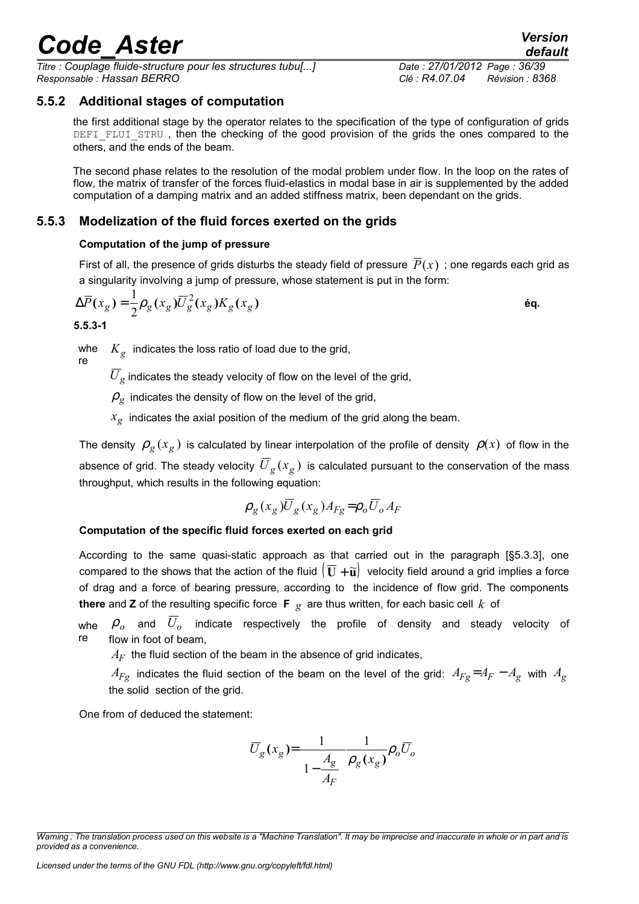*Titre : Couplage fluide-structure pour les structures tubu[...] Date : 27/01/2012 Page : 36/39 Responsable : Hassan BERRO Clé : R4.07.04 Révision : 8368*

### **5.5.2 Additional stages of computation**

the first additional stage by the operator relates to the specification of the type of configuration of grids DEFI\_FLUI\_STRU, then the checking of the good provision of the grids the ones compared to the others, and the ends of the beam.

The second phase relates to the resolution of the modal problem under flow. In the loop on the rates of flow, the matrix of transfer of the forces fluid-elastics in modal base in air is supplemented by the added computation of a damping matrix and an added stiffness matrix, been dependant on the grids.

### **5.5.3 Modelization of the fluid forces exerted on the grids**

#### **Computation of the jump of pressure**

First of all, the presence of grids disturbs the steady field of pressure  $\overline{P}(x)$ ; one regards each grid as a singularity involving a jump of pressure, whose statement is put in the form:

$$
\Delta \overline{P}(x_g) = \frac{1}{2} \rho_g(x_g) \overline{U}_g^2(x_g) K_g(x_g)
$$

**5.5.3-1**

whe re  $K_{\rm g}^{\rm c}$  indicates the loss ratio of load due to the grid,

 ${U}_{\varrho}$  indicates the steady velocity of flow on the level of the grid,

 $\rho_g$  indicates the density of flow on the level of the grid,

 $x_{\rm g}^{\parallel}$  indicates the axial position of the medium of the grid along the beam.

The density  $\rho_g(x_g)$  is calculated by linear interpolation of the profile of density  $\rho(x)$  of flow in the absence of grid. The steady velocity  $\overline{U}_g(x_g)$  is calculated pursuant to the conservation of the mass throughput, which results in the following equation:

$$
\rho_g(x_g)\overline{U}_g(x_g)A_{Fg} = \rho_o\overline{U}_o A_F
$$

#### **Computation of the specific fluid forces exerted on each grid**

According to the same quasi-static approach as that carried out in the paragraph [§5.3.3], one compared to the shows that the action of the fluid  $(\bar{U} + \tilde{u})$  velocity field around a grid implies a force of drag and a force of bearing pressure, according to the incidence of flow grid. The components **there** and **Z** of the resulting specific force **F**  $g$  are thus written, for each basic cell  $k$  of

whe  $\bm{\rho}_o$  and  $\overline{U}_o$  indicate respectively the profile of density and steady velocity of re flow in foot of beam,

 $A_F$  the fluid section of the beam in the absence of grid indicates,

*A*<sub>*Fg*</sub> indicates the fluid section of the beam on the level of the grid:  $A_{Fg} = A_F - A_g$  with  $A_g$ the solid section of the grid.

One from of deduced the statement:

$$
\overline{U}_g(x_g) = \frac{1}{\left(1 - \frac{A_g}{A_F}\right)} \rho_g(x_g) \rho_o \overline{U}_o
$$

*Warning : The translation process used on this website is a "Machine Translation". It may be imprecise and inaccurate in whole or in part and is provided as a convenience.*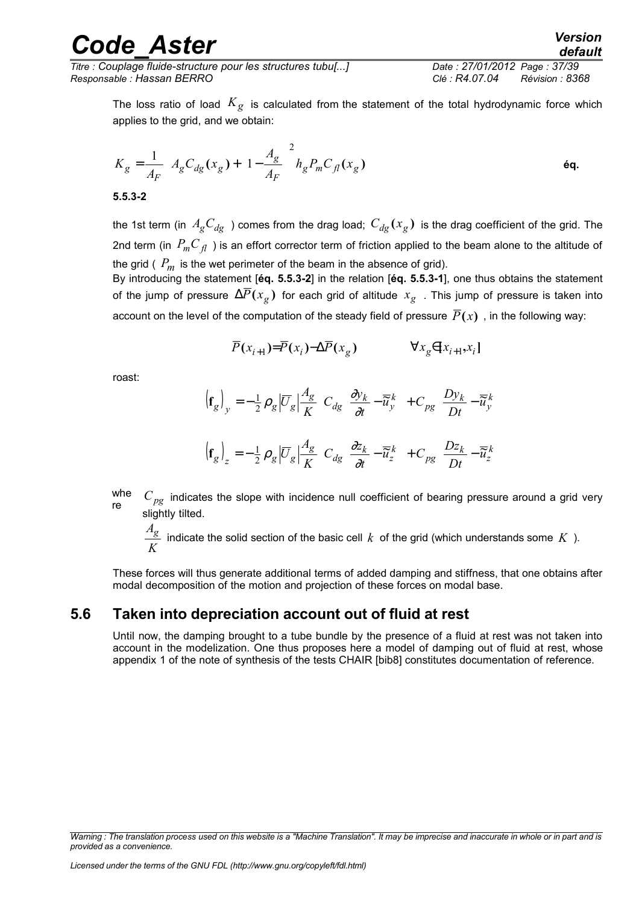*Titre : Couplage fluide-structure pour les structures tubu[...] Date : 27/01/2012 Page : 37/39 Responsable : Hassan BERRO Clé : R4.07.04 Révision : 8368*

The loss ratio of load  $K_g$  is calculated from the statement of the total hydrodynamic force which applies to the grid, and we obtain:

$$
K_g = \frac{1}{A_F} \left[ A_g C_{dg}(x_g) + \left( 1 - \frac{A_g}{A_F} \right)^2 h_g P_m C_{fl}(x_g) \right]
$$
\n6q.

the 1st term (in  $A_g C_{dg}$ ) comes from the drag load;  $C_{dg}(x_g)$  is the drag coefficient of the grid. The 2nd term (in  $P_m C_{fl}$ ) is an effort corrector term of friction applied to the beam alone to the altitude of the grid ( $P_m$  is the wet perimeter of the beam in the absence of grid).

By introducing the statement [**éq. 5.5.3-2**] in the relation [**éq. 5.5.3-1**], one thus obtains the statement of the jump of pressure  $\Delta \overline{P}(x_g^{})$  for each grid of altitude  $\,x_g^{}$  . This jump of pressure is taken into account on the level of the computation of the steady field of pressure  $\overline{P}(x)$ , in the following way:

$$
\overline{P}(x_{i+1}) = \overline{P}(x_i) - \Delta \overline{P}(x_g) \qquad \forall x_g \in [x_{i+1}, x_i]
$$

roast:

$$
\begin{aligned}\n\left(\mathbf{f}_{g}\right)_{y} &= -\frac{1}{2} \rho_{g} \left| \overline{U}_{g} \right| \frac{A_{g}}{K} \left( C_{dg} \left[ \frac{\partial y_{k}}{\partial t} - \overline{\widetilde{u}}_{y}^{k} \right] + C_{pg} \left[ \frac{D y_{k}}{D t} - \overline{\widetilde{u}}_{y}^{k} \right] \right) \\
\left(\mathbf{f}_{g}\right)_{z} &= -\frac{1}{2} \rho_{g} \left| \overline{U}_{g} \right| \frac{A_{g}}{K} \left( C_{dg} \left[ \frac{\partial z_{k}}{\partial t} - \overline{\widetilde{u}}_{z}^{k} \right] + C_{pg} \left[ \frac{D z_{k}}{D t} - \overline{\widetilde{u}}_{z}^{k} \right] \right)\n\end{aligned}
$$

whe re  $C_{pg}$  indicates the slope with incidence null coefficient of bearing pressure around a grid very slightly tilted.

*K Ag* indicate the solid section of the basic cell *k* of the grid (which understands some *K* ).

These forces will thus generate additional terms of added damping and stiffness, that one obtains after modal decomposition of the motion and projection of these forces on modal base.

### **5.6 Taken into depreciation account out of fluid at rest**

Until now, the damping brought to a tube bundle by the presence of a fluid at rest was not taken into account in the modelization. One thus proposes here a model of damping out of fluid at rest, whose appendix 1 of the note of synthesis of the tests CHAIR [bib8] constitutes documentation of reference.

*Warning : The translation process used on this website is a "Machine Translation". It may be imprecise and inaccurate in whole or in part and is provided as a convenience.*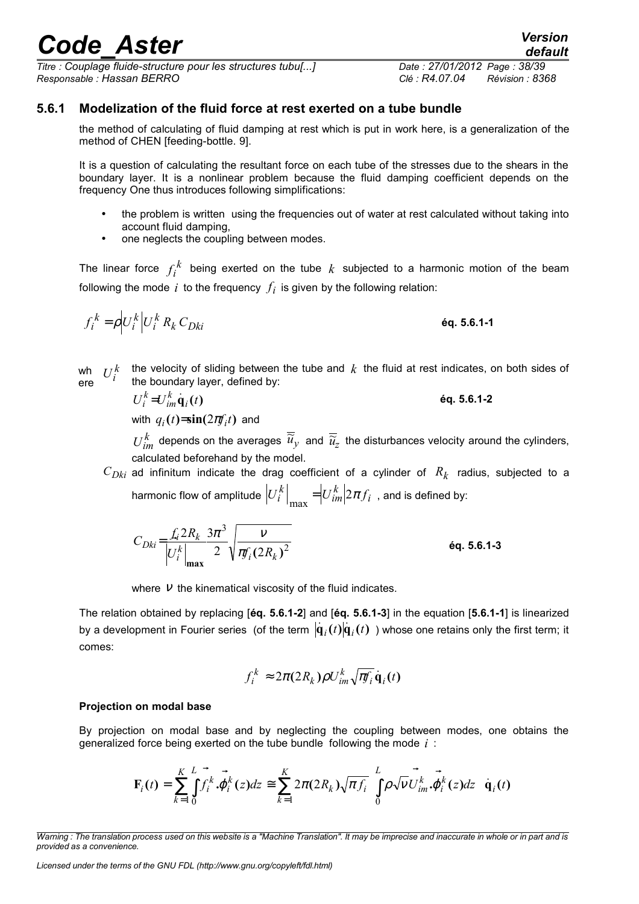# **5.6.1 Modelization of the fluid force at rest exerted on a tube bundle**

the method of calculating of fluid damping at rest which is put in work here, is a generalization of the method of CHEN [feeding-bottle. 9].

It is a question of calculating the resultant force on each tube of the stresses due to the shears in the boundary layer. It is a nonlinear problem because the fluid damping coefficient depends on the frequency One thus introduces following simplifications:

- the problem is written using the frequencies out of water at rest calculated without taking into account fluid damping,
- one neglects the coupling between modes.

The linear force l. *f i k* being exerted on the tube *k* subjected to a harmonic motion of the beam following the mode  $i$  to the frequency  $f_i$  is given by the following relation:

$$
f_i^k = \rho \Big| U_i^k \Big| U_i^k R_k C_{Dki} \qquad \qquad \text{6q. 5.6.1-1}
$$

wh  $U$ ere  $U_i^k$  the velocity of sliding between the tube and  $k$  the fluid at rest indicates, on both sides of the boundary layer defined by: the boundary layer, defined by:<br> $e^{-k}$ ,  $e^{-k}$ ,  $i$ ,  $j$ ,  $k$ 

$$
U_i^k = U_{im}^k \dot{\mathbf{q}}_i(t) \tag{6q. 5.6.1-2}
$$

with  $q_i(t) = \sin(2\pi f_i t)$  and

  $U_{im}^k$  depends on the averages  $\overline{\widetilde u}_y$  and  $\overline{\widetilde u}_z$  the disturbances velocity around the cylinders, calculated beforehand by the model.

 $C_{Dki}$  ad infinitum indicate the drag coefficient of a cylinder of  $R_k$  radius, subjected to a harmonic flow of amplitude  $\begin{array}{ccc} \bullet & & & \end{array}$  $\left|U_i^{\kappa}\right|_{\max} = U_{im}^{\kappa} |2\pi f$ *k im k*  $\sum_{\max}$  =  $\left| U_{im}^{\kappa}\right|$   $2\pi f_i$  , and is defined by:

$$
C_{Dki} = \frac{f_i 2R_k}{|U_i^k|_{\text{max}}} \frac{3\pi^3}{2} \sqrt{\frac{v}{\pi f_i (2R_k)^2}}
$$

where  $V$  the kinematical viscosity of the fluid indicates.

The relation obtained by replacing [**éq. 5.6.1-2**] and [**éq. 5.6.1-3**] in the equation [**5.6.1-1**] is linearized by a development in Fourier series  $|$  (of the term  $|\dot{\mathbf{q}}_i(t)|\dot{\mathbf{q}}_i(t)|$  ) whose one retains only the first term; it comes:

$$
f_i^k \approx 2\pi (2R_k) \rho U_{im}^k \sqrt{\pi f_i} \dot{\mathbf{q}}_i(t)
$$

#### **Projection on modal base**

By projection on modal base and by neglecting the coupling between modes, one obtains the generalized force being exerted on the tube bundle following the mode *i* :

$$
\mathbf{F}_i(t) = \sum_{k=1}^K \int_{0}^{L} \vec{f}_i^k \cdot \vec{\varphi}_i^k(z) dz \cong \sum_{k=1}^K 2\pi (2R_k) \sqrt{\pi f_i} \left[ \int_{0}^{L} \rho \sqrt{\nu} \vec{U}_{im}^k \cdot \vec{\varphi}_i^k(z) dz \right] \dot{\mathbf{q}}_i(t)
$$

# *Code\_Aster Version*

*Titre : Couplage fluide-structure pour les structures tubu[...] Date : 27/01/2012 Page : 38/39 Responsable : Hassan BERRO Clé : R4.07.04 Révision : 8368*

*default*

*Warning : The translation process used on this website is a "Machine Translation". It may be imprecise and inaccurate in whole or in part and is provided as a convenience.*